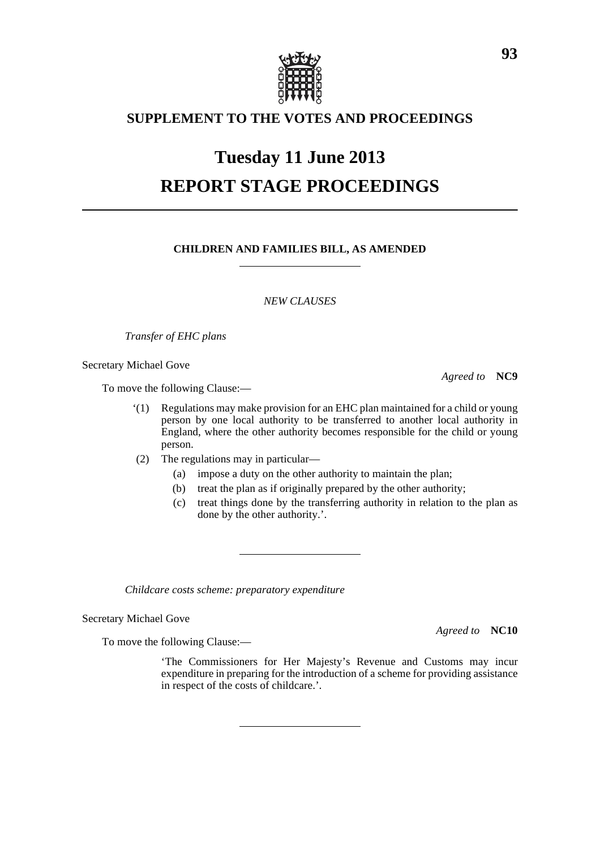

## **SUPPLEMENT TO THE VOTES AND PROCEEDINGS**

# **Tuesday 11 June 2013 REPORT STAGE PROCEEDINGS**

### **CHILDREN AND FAMILIES BILL, AS AMENDED**

*NEW CLAUSES*

*Transfer of EHC plans*

Secretary Michael Gove

To move the following Clause:—

- '(1) Regulations may make provision for an EHC plan maintained for a child or young person by one local authority to be transferred to another local authority in England, where the other authority becomes responsible for the child or young person.
- (2) The regulations may in particular—
	- (a) impose a duty on the other authority to maintain the plan;
	- (b) treat the plan as if originally prepared by the other authority;
	- (c) treat things done by the transferring authority in relation to the plan as done by the other authority.'.

*Childcare costs scheme: preparatory expenditure*

Secretary Michael Gove

*Agreed to* **NC10**

To move the following Clause:—

'The Commissioners for Her Majesty's Revenue and Customs may incur expenditure in preparing for the introduction of a scheme for providing assistance in respect of the costs of childcare.'.

*Agreed to* **NC9**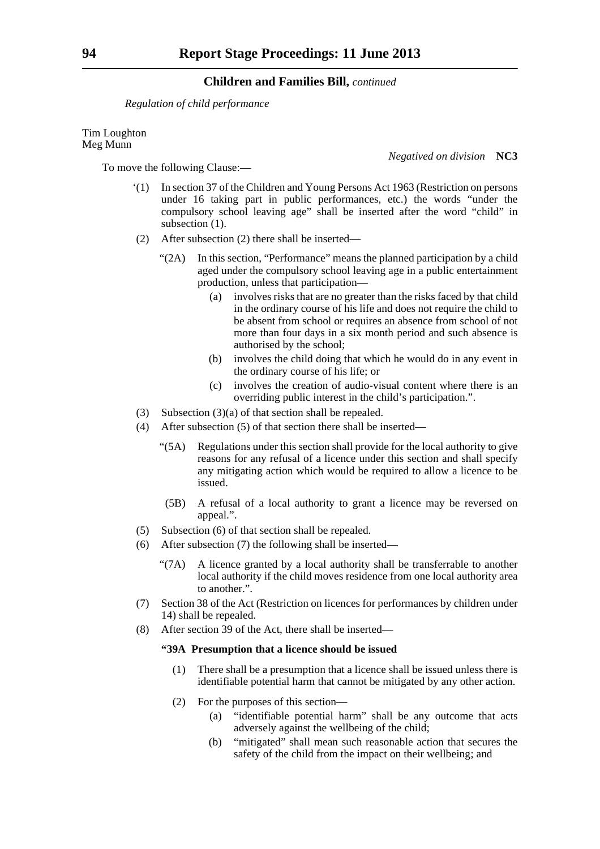*Regulation of child performance*

To move the following Clause:—

Tim Loughton Meg Munn

*Negatived on division* **NC3**

- '(1) In section 37 of the Children and Young Persons Act 1963 (Restriction on persons under 16 taking part in public performances, etc.) the words "under the compulsory school leaving age" shall be inserted after the word "child" in subsection  $(1)$ .
- (2) After subsection (2) there shall be inserted—
	- "(2A) In this section, "Performance" means the planned participation by a child aged under the compulsory school leaving age in a public entertainment production, unless that participation—
		- (a) involves risks that are no greater than the risks faced by that child in the ordinary course of his life and does not require the child to be absent from school or requires an absence from school of not more than four days in a six month period and such absence is authorised by the school;
		- (b) involves the child doing that which he would do in any event in the ordinary course of his life; or
		- (c) involves the creation of audio-visual content where there is an overriding public interest in the child's participation.".
- (3) Subsection (3)(a) of that section shall be repealed.
- (4) After subsection (5) of that section there shall be inserted—
	- "(5A) Regulations under this section shall provide for the local authority to give reasons for any refusal of a licence under this section and shall specify any mitigating action which would be required to allow a licence to be issued.
	- (5B) A refusal of a local authority to grant a licence may be reversed on appeal.".
- (5) Subsection (6) of that section shall be repealed.
- (6) After subsection (7) the following shall be inserted—
	- "(7A) A licence granted by a local authority shall be transferrable to another local authority if the child moves residence from one local authority area to another.".
- (7) Section 38 of the Act (Restriction on licences for performances by children under 14) shall be repealed.
- (8) After section 39 of the Act, there shall be inserted—

#### **"39A Presumption that a licence should be issued**

- (1) There shall be a presumption that a licence shall be issued unless there is identifiable potential harm that cannot be mitigated by any other action.
- (2) For the purposes of this section—
	- (a) "identifiable potential harm" shall be any outcome that acts adversely against the wellbeing of the child;
	- (b) "mitigated" shall mean such reasonable action that secures the safety of the child from the impact on their wellbeing; and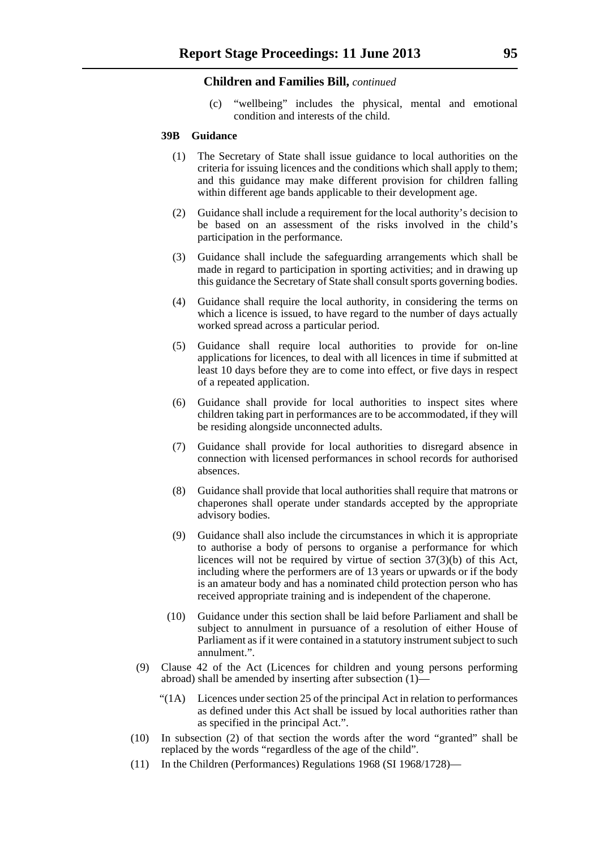(c) "wellbeing" includes the physical, mental and emotional condition and interests of the child.

#### **39B Guidance**

- (1) The Secretary of State shall issue guidance to local authorities on the criteria for issuing licences and the conditions which shall apply to them; and this guidance may make different provision for children falling within different age bands applicable to their development age.
- (2) Guidance shall include a requirement for the local authority's decision to be based on an assessment of the risks involved in the child's participation in the performance.
- (3) Guidance shall include the safeguarding arrangements which shall be made in regard to participation in sporting activities; and in drawing up this guidance the Secretary of State shall consult sports governing bodies.
- (4) Guidance shall require the local authority, in considering the terms on which a licence is issued, to have regard to the number of days actually worked spread across a particular period.
- (5) Guidance shall require local authorities to provide for on-line applications for licences, to deal with all licences in time if submitted at least 10 days before they are to come into effect, or five days in respect of a repeated application.
- (6) Guidance shall provide for local authorities to inspect sites where children taking part in performances are to be accommodated, if they will be residing alongside unconnected adults.
- (7) Guidance shall provide for local authorities to disregard absence in connection with licensed performances in school records for authorised absences.
- (8) Guidance shall provide that local authorities shall require that matrons or chaperones shall operate under standards accepted by the appropriate advisory bodies.
- (9) Guidance shall also include the circumstances in which it is appropriate to authorise a body of persons to organise a performance for which licences will not be required by virtue of section 37(3)(b) of this Act, including where the performers are of 13 years or upwards or if the body is an amateur body and has a nominated child protection person who has received appropriate training and is independent of the chaperone.
- (10) Guidance under this section shall be laid before Parliament and shall be subject to annulment in pursuance of a resolution of either House of Parliament as if it were contained in a statutory instrument subject to such annulment.".
- (9) Clause 42 of the Act (Licences for children and young persons performing abroad) shall be amended by inserting after subsection (1)—
	- "(1A) Licences under section 25 of the principal Act in relation to performances as defined under this Act shall be issued by local authorities rather than as specified in the principal Act.".
- (10) In subsection (2) of that section the words after the word "granted" shall be replaced by the words "regardless of the age of the child".
- (11) In the Children (Performances) Regulations 1968 (SI 1968/1728)—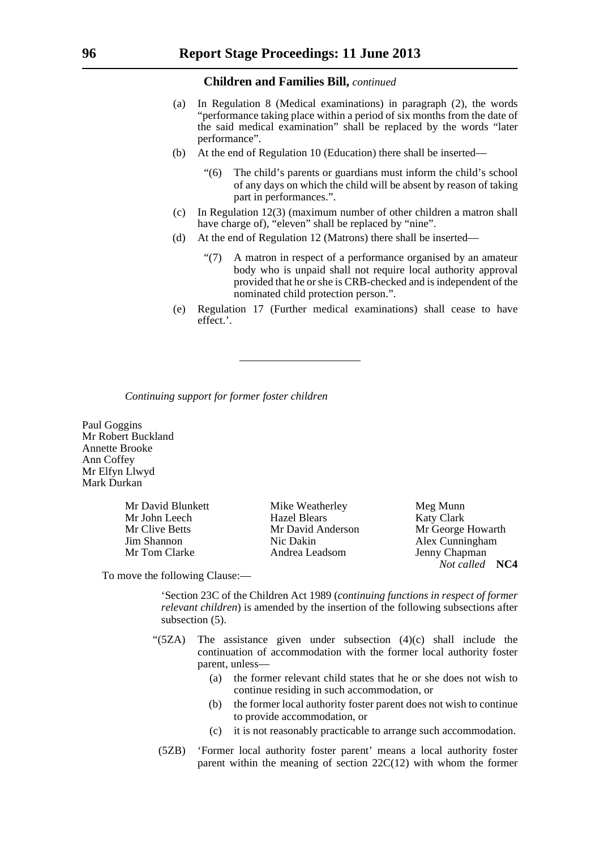- (a) In Regulation 8 (Medical examinations) in paragraph (2), the words "performance taking place within a period of six months from the date of the said medical examination" shall be replaced by the words "later performance".
- (b) At the end of Regulation 10 (Education) there shall be inserted—
	- The child's parents or guardians must inform the child's school of any days on which the child will be absent by reason of taking part in performances.".
- (c) In Regulation 12(3) (maximum number of other children a matron shall have charge of), "eleven" shall be replaced by "nine".
- (d) At the end of Regulation 12 (Matrons) there shall be inserted—
	- "(7) A matron in respect of a performance organised by an amateur body who is unpaid shall not require local authority approval provided that he or she is CRB-checked and is independent of the nominated child protection person.".
- (e) Regulation 17 (Further medical examinations) shall cease to have effect.'.

*Continuing support for former foster children*

Paul Goggins Mr Robert Buckland Annette Brooke Ann Coffey Mr Elfyn Llwyd Mark Durkan

Mr David Blunkett Mike Weatherley Meg Munn

Mr John Leech Hazel Blears Katy Clark Mr Clive Betts Mr David Anderson Mr George Howarth Jim Shannon Nic Dakin Alex Cunningham Mr Tom Clarke Andrea Leadsom Jenny Chapman

*Not called* **NC4**

To move the following Clause:—

'Section 23C of the Children Act 1989 (*continuing functions in respect of former relevant children*) is amended by the insertion of the following subsections after subsection (5).

- " $(5ZA)$  The assistance given under subsection  $(4)(c)$  shall include the continuation of accommodation with the former local authority foster parent, unless—
	- (a) the former relevant child states that he or she does not wish to continue residing in such accommodation, or
	- (b) the former local authority foster parent does not wish to continue to provide accommodation, or
	- (c) it is not reasonably practicable to arrange such accommodation.
	- (5ZB) 'Former local authority foster parent' means a local authority foster parent within the meaning of section  $22C(12)$  with whom the former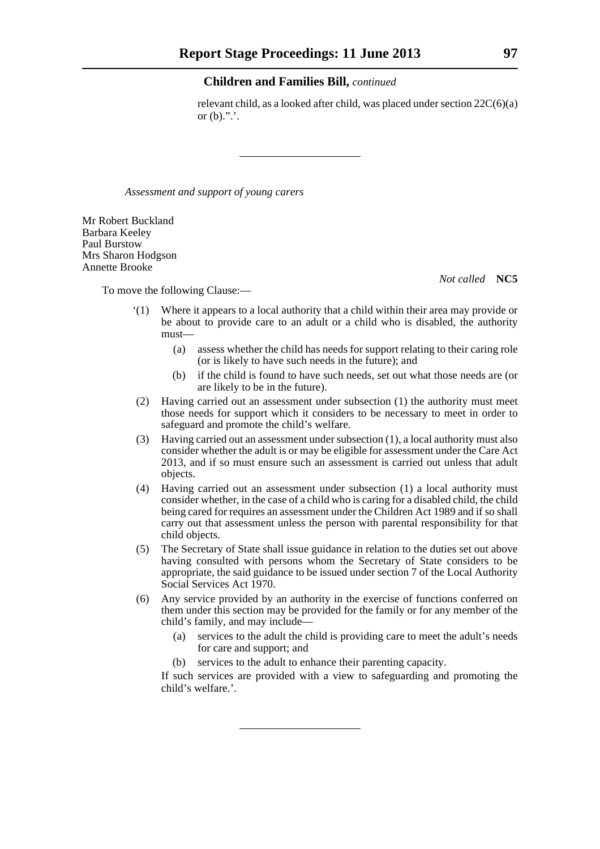relevant child, as a looked after child, was placed under section 22C(6)(a) or  $(b)$ .".'.

*Assessment and support of young carers*

Mr Robert Buckland Barbara Keeley Paul Burstow Mrs Sharon Hodgson Annette Brooke

*Not called* **NC5**

To move the following Clause:—

- '(1) Where it appears to a local authority that a child within their area may provide or be about to provide care to an adult or a child who is disabled, the authority must—
	- (a) assess whether the child has needs for support relating to their caring role (or is likely to have such needs in the future); and
	- (b) if the child is found to have such needs, set out what those needs are (or are likely to be in the future).
- (2) Having carried out an assessment under subsection (1) the authority must meet those needs for support which it considers to be necessary to meet in order to safeguard and promote the child's welfare.
- (3) Having carried out an assessment under subsection (1), a local authority must also consider whether the adult is or may be eligible for assessment under the Care Act 2013, and if so must ensure such an assessment is carried out unless that adult objects.
- (4) Having carried out an assessment under subsection (1) a local authority must consider whether, in the case of a child who is caring for a disabled child, the child being cared for requires an assessment under the Children Act 1989 and if so shall carry out that assessment unless the person with parental responsibility for that child objects.
- (5) The Secretary of State shall issue guidance in relation to the duties set out above having consulted with persons whom the Secretary of State considers to be appropriate, the said guidance to be issued under section 7 of the Local Authority Social Services Act 1970.
- (6) Any service provided by an authority in the exercise of functions conferred on them under this section may be provided for the family or for any member of the child's family, and may include—
	- (a) services to the adult the child is providing care to meet the adult's needs for care and support; and
	- (b) services to the adult to enhance their parenting capacity.

If such services are provided with a view to safeguarding and promoting the child's welfare.'.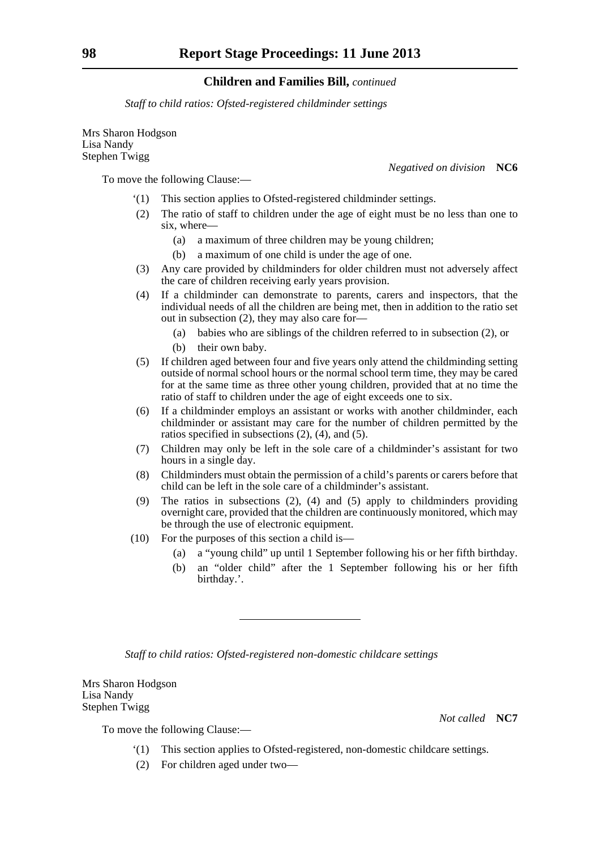*Staff to child ratios: Ofsted-registered childminder settings*

Mrs Sharon Hodgson Lisa Nandy Stephen Twigg

*Negatived on division* **NC6**

To move the following Clause:—

- '(1) This section applies to Ofsted-registered childminder settings.
- (2) The ratio of staff to children under the age of eight must be no less than one to six, where—
	- (a) a maximum of three children may be young children;
	- (b) a maximum of one child is under the age of one.
- (3) Any care provided by childminders for older children must not adversely affect the care of children receiving early years provision.
- (4) If a childminder can demonstrate to parents, carers and inspectors, that the individual needs of all the children are being met, then in addition to the ratio set out in subsection (2), they may also care for—
	- (a) babies who are siblings of the children referred to in subsection (2), or
	- (b) their own baby.
- (5) If children aged between four and five years only attend the childminding setting outside of normal school hours or the normal school term time, they may be cared for at the same time as three other young children, provided that at no time the ratio of staff to children under the age of eight exceeds one to six.
- (6) If a childminder employs an assistant or works with another childminder, each childminder or assistant may care for the number of children permitted by the ratios specified in subsections (2), (4), and (5).
- (7) Children may only be left in the sole care of a childminder's assistant for two hours in a single day.
- (8) Childminders must obtain the permission of a child's parents or carers before that child can be left in the sole care of a childminder's assistant.
- (9) The ratios in subsections (2), (4) and (5) apply to childminders providing overnight care, provided that the children are continuously monitored, which may be through the use of electronic equipment.
- (10) For the purposes of this section a child is—
	- (a) a "young child" up until 1 September following his or her fifth birthday.
	- (b) an "older child" after the 1 September following his or her fifth birthday.'.

*Staff to child ratios: Ofsted-registered non-domestic childcare settings*

Mrs Sharon Hodgson Lisa Nandy Stephen Twigg

*Not called* **NC7**

To move the following Clause:—

- '(1) This section applies to Ofsted-registered, non-domestic childcare settings.
- (2) For children aged under two—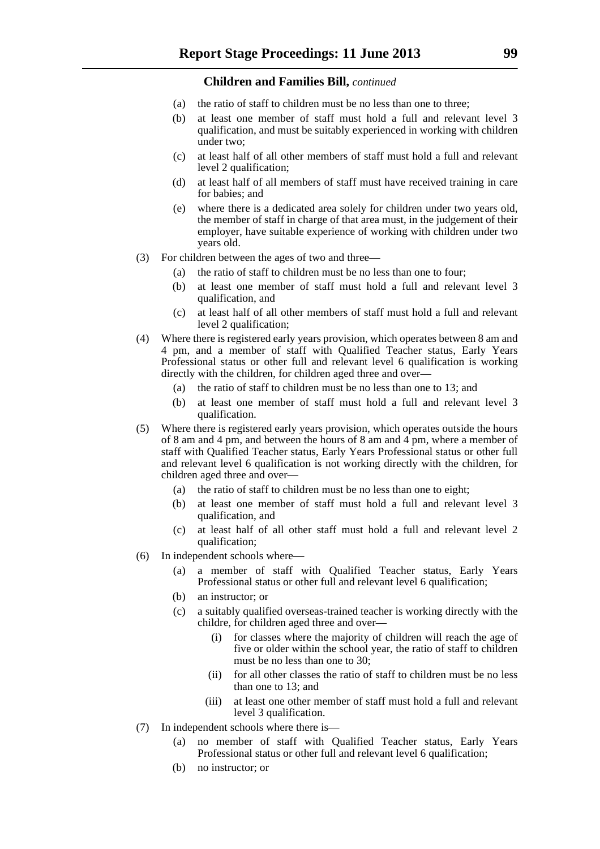- (a) the ratio of staff to children must be no less than one to three;
- (b) at least one member of staff must hold a full and relevant level 3 qualification, and must be suitably experienced in working with children under two;
- (c) at least half of all other members of staff must hold a full and relevant level 2 qualification;
- (d) at least half of all members of staff must have received training in care for babies; and
- (e) where there is a dedicated area solely for children under two years old, the member of staff in charge of that area must, in the judgement of their employer, have suitable experience of working with children under two years old.
- (3) For children between the ages of two and three—
	- (a) the ratio of staff to children must be no less than one to four;
	- (b) at least one member of staff must hold a full and relevant level 3 qualification, and
	- (c) at least half of all other members of staff must hold a full and relevant level 2 qualification;
- (4) Where there is registered early years provision, which operates between 8 am and 4 pm, and a member of staff with Qualified Teacher status, Early Years Professional status or other full and relevant level 6 qualification is working directly with the children, for children aged three and over—
	- (a) the ratio of staff to children must be no less than one to 13; and
	- (b) at least one member of staff must hold a full and relevant level 3 qualification.
- (5) Where there is registered early years provision, which operates outside the hours of 8 am and 4 pm, and between the hours of 8 am and 4 pm, where a member of staff with Qualified Teacher status, Early Years Professional status or other full and relevant level 6 qualification is not working directly with the children, for children aged three and over—
	- (a) the ratio of staff to children must be no less than one to eight;
	- (b) at least one member of staff must hold a full and relevant level 3 qualification, and
	- (c) at least half of all other staff must hold a full and relevant level 2 qualification;
- (6) In independent schools where—
	- (a) a member of staff with Qualified Teacher status, Early Years Professional status or other full and relevant level 6 qualification;
	- (b) an instructor; or
	- (c) a suitably qualified overseas-trained teacher is working directly with the childre, for children aged three and over—
		- (i) for classes where the majority of children will reach the age of five or older within the school year, the ratio of staff to children must be no less than one to 30;
		- (ii) for all other classes the ratio of staff to children must be no less than one to 13; and
		- (iii) at least one other member of staff must hold a full and relevant level 3 qualification.
- (7) In independent schools where there is—
	- (a) no member of staff with Qualified Teacher status, Early Years Professional status or other full and relevant level 6 qualification;
	- (b) no instructor; or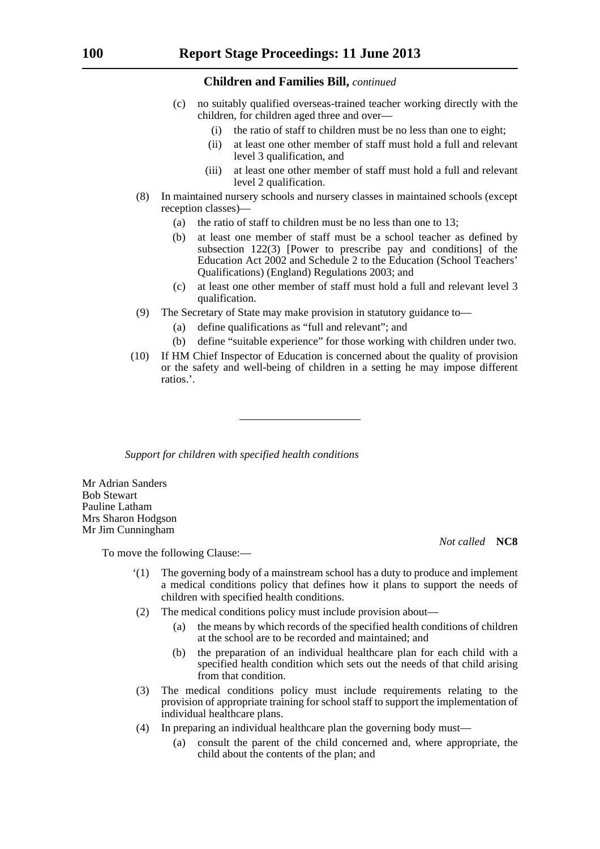- (c) no suitably qualified overseas-trained teacher working directly with the children, for children aged three and over—
	- (i) the ratio of staff to children must be no less than one to eight;
	- (ii) at least one other member of staff must hold a full and relevant level 3 qualification, and
	- (iii) at least one other member of staff must hold a full and relevant level 2 qualification.
- (8) In maintained nursery schools and nursery classes in maintained schools (except reception classes)—
	- (a) the ratio of staff to children must be no less than one to 13;
	- (b) at least one member of staff must be a school teacher as defined by subsection 122(3) [Power to prescribe pay and conditions] of the Education Act 2002 and Schedule 2 to the Education (School Teachers' Qualifications) (England) Regulations 2003; and
	- (c) at least one other member of staff must hold a full and relevant level 3 qualification.
- (9) The Secretary of State may make provision in statutory guidance to—
	- (a) define qualifications as "full and relevant"; and
	- (b) define "suitable experience" for those working with children under two.
- (10) If HM Chief Inspector of Education is concerned about the quality of provision or the safety and well-being of children in a setting he may impose different ratios.'.

*Support for children with specified health conditions*

Mr Adrian Sanders Bob Stewart Pauline Latham Mrs Sharon Hodgson Mr Jim Cunningham

*Not called* **NC8**

To move the following Clause:—

- '(1) The governing body of a mainstream school has a duty to produce and implement a medical conditions policy that defines how it plans to support the needs of children with specified health conditions.
- (2) The medical conditions policy must include provision about—
	- (a) the means by which records of the specified health conditions of children at the school are to be recorded and maintained; and
	- (b) the preparation of an individual healthcare plan for each child with a specified health condition which sets out the needs of that child arising from that condition.
- (3) The medical conditions policy must include requirements relating to the provision of appropriate training for school staff to support the implementation of individual healthcare plans.
- (4) In preparing an individual healthcare plan the governing body must—
	- (a) consult the parent of the child concerned and, where appropriate, the child about the contents of the plan; and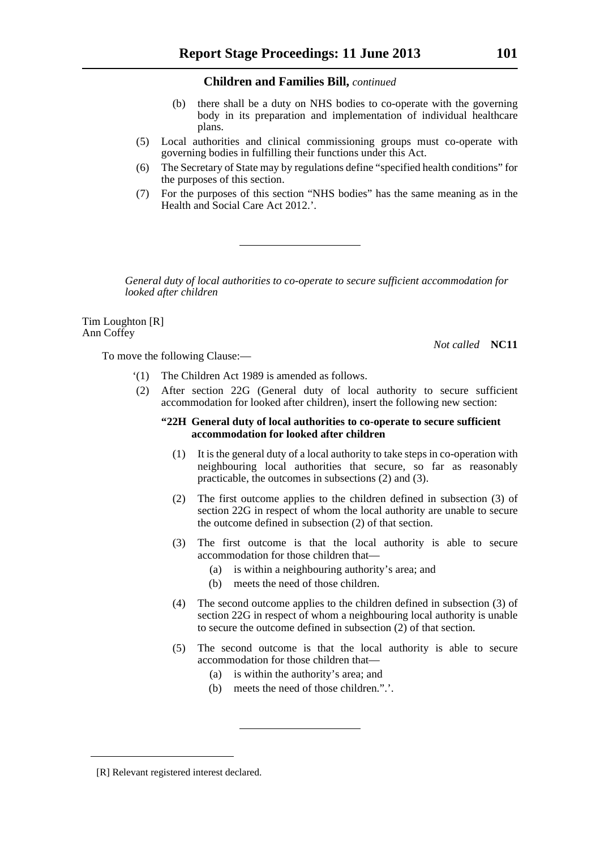- (b) there shall be a duty on NHS bodies to co-operate with the governing body in its preparation and implementation of individual healthcare plans.
- (5) Local authorities and clinical commissioning groups must co-operate with governing bodies in fulfilling their functions under this Act.
- (6) The Secretary of State may by regulations define "specified health conditions" for the purposes of this section.
- (7) For the purposes of this section "NHS bodies" has the same meaning as in the Health and Social Care Act 2012.'.

*General duty of local authorities to co-operate to secure sufficient accommodation for looked after children*

Tim Loughton [R] Ann Coffey

*Not called* **NC11**

To move the following Clause:—

- '(1) The Children Act 1989 is amended as follows.
- (2) After section 22G (General duty of local authority to secure sufficient accommodation for looked after children), insert the following new section:

#### **"22H General duty of local authorities to co-operate to secure sufficient accommodation for looked after children**

- (1) It is the general duty of a local authority to take steps in co-operation with neighbouring local authorities that secure, so far as reasonably practicable, the outcomes in subsections (2) and (3).
- (2) The first outcome applies to the children defined in subsection (3) of section 22G in respect of whom the local authority are unable to secure the outcome defined in subsection (2) of that section.
- (3) The first outcome is that the local authority is able to secure accommodation for those children that—
	- (a) is within a neighbouring authority's area; and
	- (b) meets the need of those children.
- (4) The second outcome applies to the children defined in subsection (3) of section 22G in respect of whom a neighbouring local authority is unable to secure the outcome defined in subsection (2) of that section.
- (5) The second outcome is that the local authority is able to secure accommodation for those children that—
	- (a) is within the authority's area; and
	- (b) meets the need of those children.".'.

<sup>[</sup>R] Relevant registered interest declared.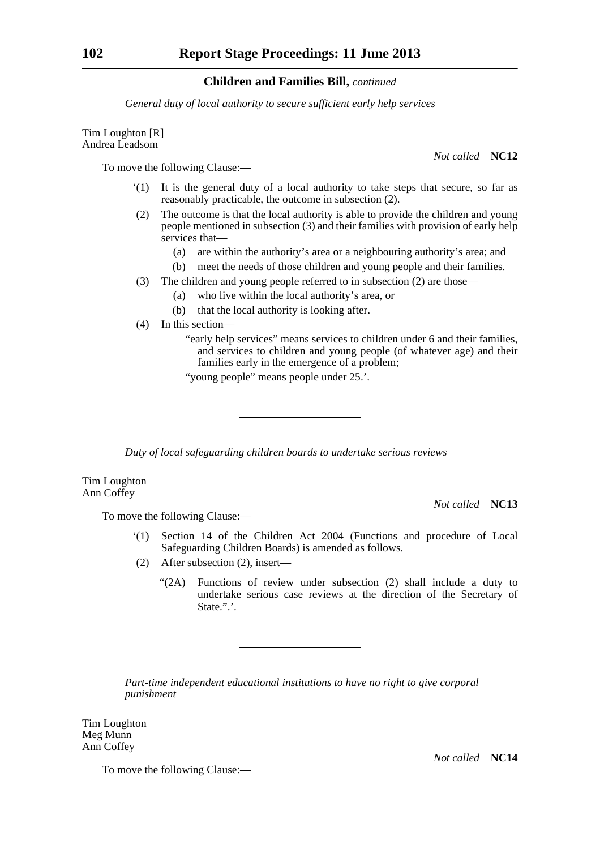*General duty of local authority to secure sufficient early help services*

Tim Loughton [R] Andrea Leadsom

To move the following Clause:—

- '(1) It is the general duty of a local authority to take steps that secure, so far as reasonably practicable, the outcome in subsection (2).
- (2) The outcome is that the local authority is able to provide the children and young people mentioned in subsection (3) and their families with provision of early help services that—
	- (a) are within the authority's area or a neighbouring authority's area; and
	- (b) meet the needs of those children and young people and their families.
- (3) The children and young people referred to in subsection (2) are those—
	- (a) who live within the local authority's area, or
	- (b) that the local authority is looking after.
- (4) In this section—
	- "early help services" means services to children under 6 and their families, and services to children and young people (of whatever age) and their families early in the emergence of a problem;

"young people" means people under 25.'.

*Duty of local safeguarding children boards to undertake serious reviews*

Tim Loughton Ann Coffey

*Not called* **NC13**

To move the following Clause:—

- '(1) Section 14 of the Children Act 2004 (Functions and procedure of Local Safeguarding Children Boards) is amended as follows.
- (2) After subsection (2), insert—
	- "(2A) Functions of review under subsection (2) shall include a duty to undertake serious case reviews at the direction of the Secretary of State.".'.

*Part-time independent educational institutions to have no right to give corporal punishment*

Tim Loughton Meg Munn Ann Coffey

To move the following Clause:—

*Not called* **NC12**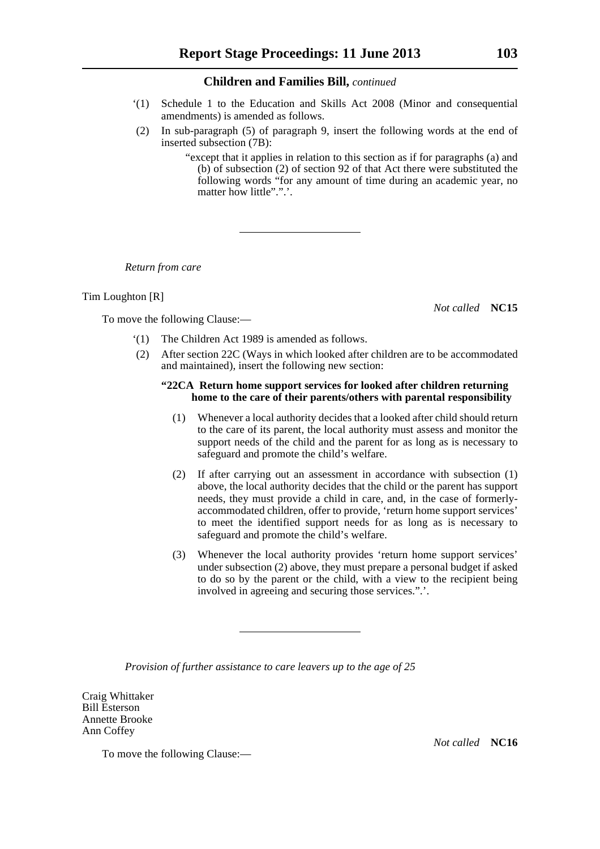- '(1) Schedule 1 to the Education and Skills Act 2008 (Minor and consequential amendments) is amended as follows.
- (2) In sub-paragraph (5) of paragraph 9, insert the following words at the end of inserted subsection (7B):

"except that it applies in relation to this section as if for paragraphs (a) and (b) of subsection (2) of section 92 of that Act there were substituted the following words "for any amount of time during an academic year, no matter how little".".'.

*Return from care*

Tim Loughton [R]

*Not called* **NC15**

- To move the following Clause:—
	- '(1) The Children Act 1989 is amended as follows.
	- (2) After section 22C (Ways in which looked after children are to be accommodated and maintained), insert the following new section:

#### **"22CA Return home support services for looked after children returning home to the care of their parents/others with parental responsibility**

- (1) Whenever a local authority decides that a looked after child should return to the care of its parent, the local authority must assess and monitor the support needs of the child and the parent for as long as is necessary to safeguard and promote the child's welfare.
- (2) If after carrying out an assessment in accordance with subsection (1) above, the local authority decides that the child or the parent has support needs, they must provide a child in care, and, in the case of formerlyaccommodated children, offer to provide, 'return home support services' to meet the identified support needs for as long as is necessary to safeguard and promote the child's welfare.
- (3) Whenever the local authority provides 'return home support services' under subsection (2) above, they must prepare a personal budget if asked to do so by the parent or the child, with a view to the recipient being involved in agreeing and securing those services.".'.

*Provision of further assistance to care leavers up to the age of 25*

Craig Whittaker Bill Esterson Annette Brooke Ann Coffey

To move the following Clause:—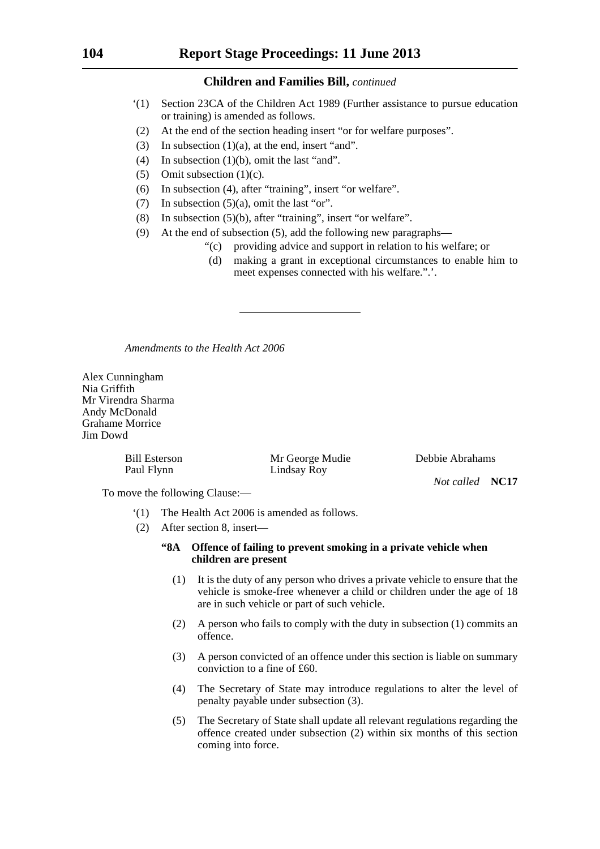- '(1) Section 23CA of the Children Act 1989 (Further assistance to pursue education or training) is amended as follows.
- (2) At the end of the section heading insert "or for welfare purposes".
- (3) In subsection  $(1)(a)$ , at the end, insert "and".
- (4) In subsection (1)(b), omit the last "and".
- (5) Omit subsection (1)(c).
- (6) In subsection (4), after "training", insert "or welfare".
- (7) In subsection  $(5)(a)$ , omit the last "or".
- (8) In subsection (5)(b), after "training", insert "or welfare".
- (9) At the end of subsection (5), add the following new paragraphs—
	- "(c) providing advice and support in relation to his welfare; or
		- (d) making a grant in exceptional circumstances to enable him to meet expenses connected with his welfare.".'.

*Amendments to the Health Act 2006*

Alex Cunningham Nia Griffith Mr Virendra Sharma Andy McDonald Grahame Morrice Jim Dowd

Paul Flynn Lindsay Roy

Bill Esterson Mr George Mudie Debbie Abrahams

*Not called* **NC17**

To move the following Clause:—

- '(1) The Health Act 2006 is amended as follows.
- (2) After section 8, insert—
	- **"8A Offence of failing to prevent smoking in a private vehicle when children are present**
		- (1) It is the duty of any person who drives a private vehicle to ensure that the vehicle is smoke-free whenever a child or children under the age of 18 are in such vehicle or part of such vehicle.
		- (2) A person who fails to comply with the duty in subsection (1) commits an offence.
		- (3) A person convicted of an offence under this section is liable on summary conviction to a fine of £60.
		- (4) The Secretary of State may introduce regulations to alter the level of penalty payable under subsection (3).
		- (5) The Secretary of State shall update all relevant regulations regarding the offence created under subsection (2) within six months of this section coming into force.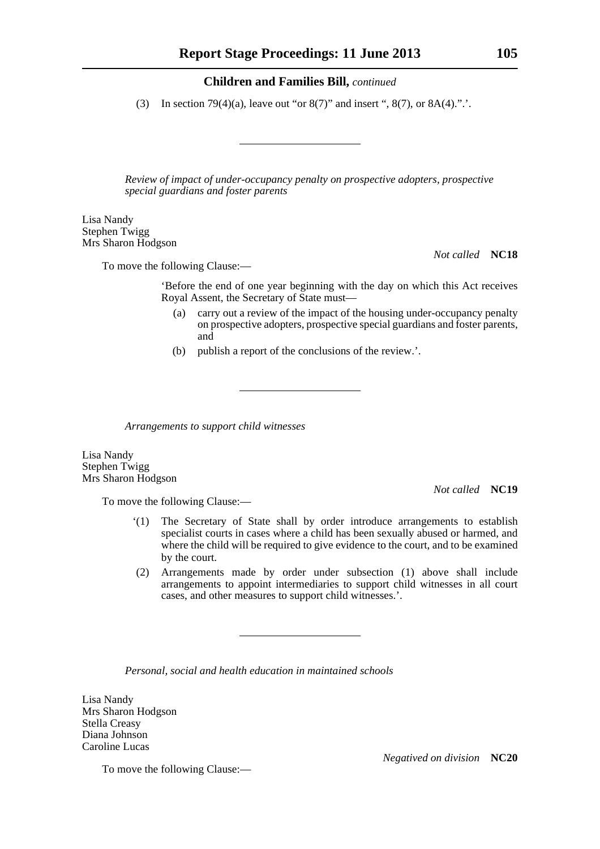(3) In section 79(4)(a), leave out "or 8(7)" and insert ", 8(7), or  $8A(4)$ .".'.

*Review of impact of under-occupancy penalty on prospective adopters, prospective special guardians and foster parents*

Lisa Nandy Stephen Twigg Mrs Sharon Hodgson

To move the following Clause:—

*Not called* **NC18**

'Before the end of one year beginning with the day on which this Act receives Royal Assent, the Secretary of State must—

- (a) carry out a review of the impact of the housing under-occupancy penalty on prospective adopters, prospective special guardians and foster parents, and
- (b) publish a report of the conclusions of the review.'.

*Arrangements to support child witnesses*

Lisa Nandy Stephen Twigg Mrs Sharon Hodgson

To move the following Clause:—

*Not called* **NC19**

- '(1) The Secretary of State shall by order introduce arrangements to establish specialist courts in cases where a child has been sexually abused or harmed, and where the child will be required to give evidence to the court, and to be examined by the court.
- (2) Arrangements made by order under subsection (1) above shall include arrangements to appoint intermediaries to support child witnesses in all court cases, and other measures to support child witnesses.'.

*Personal, social and health education in maintained schools*

Lisa Nandy Mrs Sharon Hodgson Stella Creasy Diana Johnson Caroline Lucas

To move the following Clause:—

*Negatived on division* **NC20**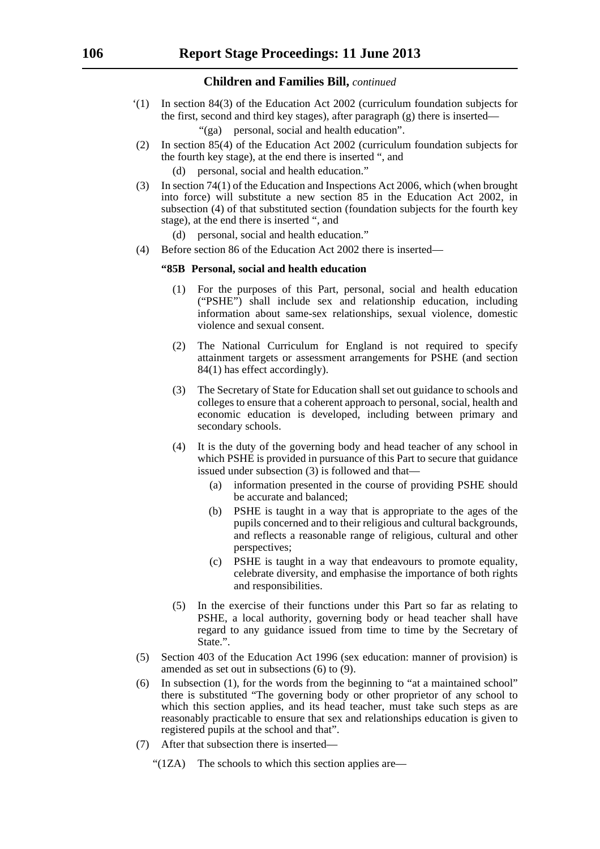- '(1) In section 84(3) of the Education Act 2002 (curriculum foundation subjects for the first, second and third key stages), after paragraph (g) there is inserted—
	- "(ga) personal, social and health education".
- (2) In section 85(4) of the Education Act 2002 (curriculum foundation subjects for the fourth key stage), at the end there is inserted ", and
	- (d) personal, social and health education."
- (3) In section 74(1) of the Education and Inspections Act 2006, which (when brought into force) will substitute a new section 85 in the Education Act 2002, in subsection (4) of that substituted section (foundation subjects for the fourth key stage), at the end there is inserted ", and
	- (d) personal, social and health education."
- (4) Before section 86 of the Education Act 2002 there is inserted—

#### **"85B Personal, social and health education**

- (1) For the purposes of this Part, personal, social and health education ("PSHE") shall include sex and relationship education, including information about same-sex relationships, sexual violence, domestic violence and sexual consent.
- (2) The National Curriculum for England is not required to specify attainment targets or assessment arrangements for PSHE (and section 84(1) has effect accordingly).
- (3) The Secretary of State for Education shall set out guidance to schools and colleges to ensure that a coherent approach to personal, social, health and economic education is developed, including between primary and secondary schools.
- (4) It is the duty of the governing body and head teacher of any school in which PSHE is provided in pursuance of this Part to secure that guidance issued under subsection (3) is followed and that—
	- (a) information presented in the course of providing PSHE should be accurate and balanced;
	- (b) PSHE is taught in a way that is appropriate to the ages of the pupils concerned and to their religious and cultural backgrounds, and reflects a reasonable range of religious, cultural and other perspectives;
	- (c) PSHE is taught in a way that endeavours to promote equality, celebrate diversity, and emphasise the importance of both rights and responsibilities.
- (5) In the exercise of their functions under this Part so far as relating to PSHE, a local authority, governing body or head teacher shall have regard to any guidance issued from time to time by the Secretary of State.".
- (5) Section 403 of the Education Act 1996 (sex education: manner of provision) is amended as set out in subsections (6) to (9).
- (6) In subsection (1), for the words from the beginning to "at a maintained school" there is substituted "The governing body or other proprietor of any school to which this section applies, and its head teacher, must take such steps as are reasonably practicable to ensure that sex and relationships education is given to registered pupils at the school and that".
- (7) After that subsection there is inserted—
	- " $(1ZA)$  The schools to which this section applies are—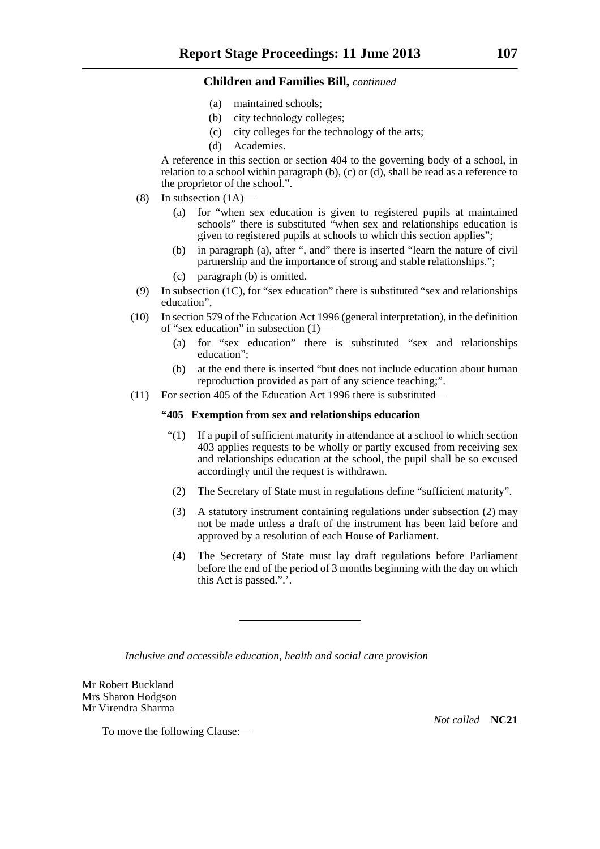- (a) maintained schools;
- (b) city technology colleges;
- (c) city colleges for the technology of the arts;
- (d) Academies.

A reference in this section or section 404 to the governing body of a school, in relation to a school within paragraph (b), (c) or (d), shall be read as a reference to the proprietor of the school.".

- (8) In subsection (1A)—
	- (a) for "when sex education is given to registered pupils at maintained schools" there is substituted "when sex and relationships education is given to registered pupils at schools to which this section applies";
	- (b) in paragraph (a), after ", and" there is inserted "learn the nature of civil partnership and the importance of strong and stable relationships.";
	- (c) paragraph (b) is omitted.
- (9) In subsection (1C), for "sex education" there is substituted "sex and relationships education",
- (10) In section 579 of the Education Act 1996 (general interpretation), in the definition of "sex education" in subsection (1)—
	- (a) for "sex education" there is substituted "sex and relationships education";
	- (b) at the end there is inserted "but does not include education about human reproduction provided as part of any science teaching;".
- (11) For section 405 of the Education Act 1996 there is substituted—

#### **"405 Exemption from sex and relationships education**

- "(1) If a pupil of sufficient maturity in attendance at a school to which section 403 applies requests to be wholly or partly excused from receiving sex and relationships education at the school, the pupil shall be so excused accordingly until the request is withdrawn.
- (2) The Secretary of State must in regulations define "sufficient maturity".
- (3) A statutory instrument containing regulations under subsection (2) may not be made unless a draft of the instrument has been laid before and approved by a resolution of each House of Parliament.
- (4) The Secretary of State must lay draft regulations before Parliament before the end of the period of 3 months beginning with the day on which this Act is passed.".'.

*Inclusive and accessible education, health and social care provision*

Mr Robert Buckland Mrs Sharon Hodgson Mr Virendra Sharma

*Not called* **NC21**

To move the following Clause:—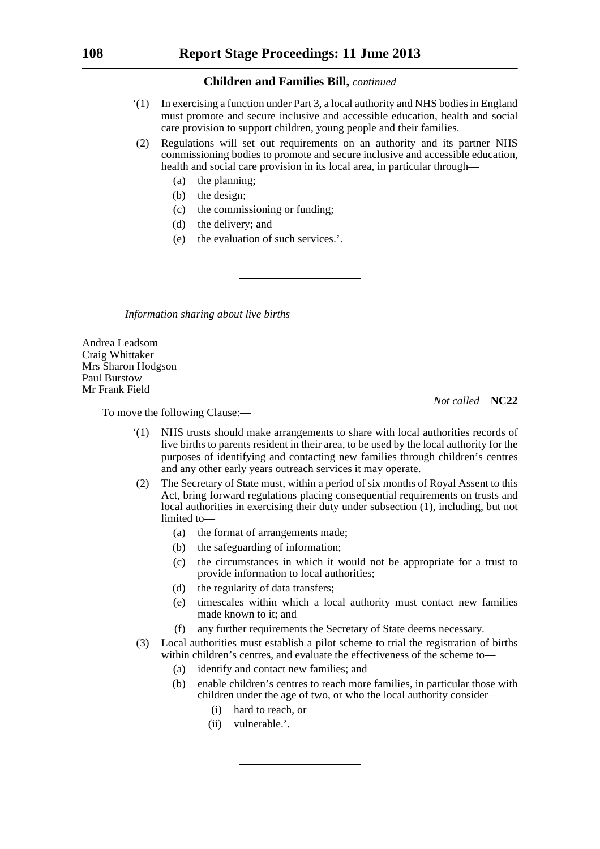- '(1) In exercising a function under Part 3, a local authority and NHS bodies in England must promote and secure inclusive and accessible education, health and social care provision to support children, young people and their families.
- (2) Regulations will set out requirements on an authority and its partner NHS commissioning bodies to promote and secure inclusive and accessible education, health and social care provision in its local area, in particular through—
	- (a) the planning;
	- (b) the design;
	- (c) the commissioning or funding;
	- (d) the delivery; and
	- (e) the evaluation of such services.'.

*Information sharing about live births*

Andrea Leadsom Craig Whittaker Mrs Sharon Hodgson Paul Burstow Mr Frank Field

*Not called* **NC22**

To move the following Clause:—

- '(1) NHS trusts should make arrangements to share with local authorities records of live births to parents resident in their area, to be used by the local authority for the purposes of identifying and contacting new families through children's centres and any other early years outreach services it may operate.
- (2) The Secretary of State must, within a period of six months of Royal Assent to this Act, bring forward regulations placing consequential requirements on trusts and local authorities in exercising their duty under subsection (1), including, but not limited to-
	- (a) the format of arrangements made;
	- (b) the safeguarding of information;
	- (c) the circumstances in which it would not be appropriate for a trust to provide information to local authorities;
	- (d) the regularity of data transfers;
	- (e) timescales within which a local authority must contact new families made known to it; and
	- (f) any further requirements the Secretary of State deems necessary.
- (3) Local authorities must establish a pilot scheme to trial the registration of births within children's centres, and evaluate the effectiveness of the scheme to—
	- (a) identify and contact new families; and
	- (b) enable children's centres to reach more families, in particular those with children under the age of two, or who the local authority consider—
		- (i) hard to reach, or
		- (ii) vulnerable.'.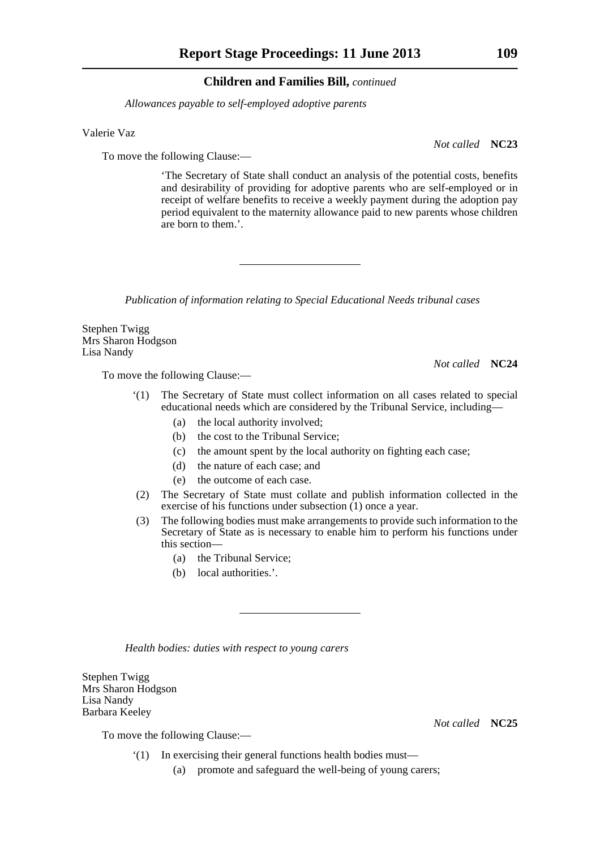*Allowances payable to self-employed adoptive parents*

Valerie Vaz

To move the following Clause:—

'The Secretary of State shall conduct an analysis of the potential costs, benefits and desirability of providing for adoptive parents who are self-employed or in receipt of welfare benefits to receive a weekly payment during the adoption pay period equivalent to the maternity allowance paid to new parents whose children are born to them.'.

*Publication of information relating to Special Educational Needs tribunal cases*

Stephen Twigg Mrs Sharon Hodgson Lisa Nandy

To move the following Clause:—

- '(1) The Secretary of State must collect information on all cases related to special educational needs which are considered by the Tribunal Service, including—
	- (a) the local authority involved;
	- (b) the cost to the Tribunal Service;
	- (c) the amount spent by the local authority on fighting each case;
	- (d) the nature of each case; and
	- (e) the outcome of each case.
- (2) The Secretary of State must collate and publish information collected in the exercise of his functions under subsection (1) once a year.
- (3) The following bodies must make arrangements to provide such information to the Secretary of State as is necessary to enable him to perform his functions under this section—
	- (a) the Tribunal Service;
	- (b) local authorities.'.

*Health bodies: duties with respect to young carers*

Stephen Twigg Mrs Sharon Hodgson Lisa Nandy Barbara Keeley

To move the following Clause:—

- '(1) In exercising their general functions health bodies must—
	- (a) promote and safeguard the well-being of young carers;

*Not called* **NC23**

*Not called* **NC24**

*Not called* **NC25**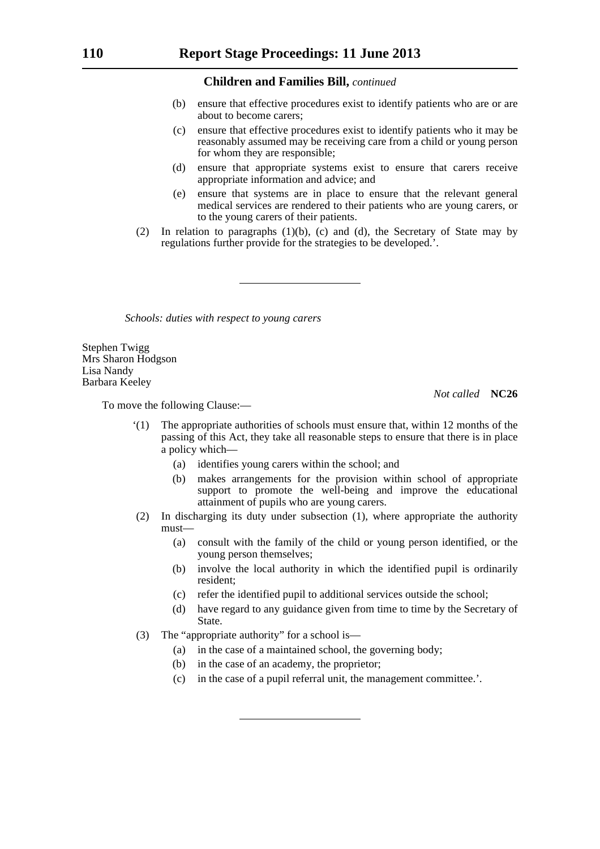- (b) ensure that effective procedures exist to identify patients who are or are about to become carers;
- (c) ensure that effective procedures exist to identify patients who it may be reasonably assumed may be receiving care from a child or young person for whom they are responsible;
- (d) ensure that appropriate systems exist to ensure that carers receive appropriate information and advice; and
- (e) ensure that systems are in place to ensure that the relevant general medical services are rendered to their patients who are young carers, or to the young carers of their patients.
- (2) In relation to paragraphs (1)(b), (c) and (d), the Secretary of State may by regulations further provide for the strategies to be developed.'.

*Schools: duties with respect to young carers*

Stephen Twigg Mrs Sharon Hodgson Lisa Nandy Barbara Keeley

*Not called* **NC26**

To move the following Clause:—

- '(1) The appropriate authorities of schools must ensure that, within 12 months of the passing of this Act, they take all reasonable steps to ensure that there is in place a policy which—
	- (a) identifies young carers within the school; and
	- (b) makes arrangements for the provision within school of appropriate support to promote the well-being and improve the educational attainment of pupils who are young carers.
- (2) In discharging its duty under subsection (1), where appropriate the authority must—
	- (a) consult with the family of the child or young person identified, or the young person themselves;
	- (b) involve the local authority in which the identified pupil is ordinarily resident;
	- (c) refer the identified pupil to additional services outside the school;
	- (d) have regard to any guidance given from time to time by the Secretary of State.
- (3) The "appropriate authority" for a school is—
	- (a) in the case of a maintained school, the governing body;
	- (b) in the case of an academy, the proprietor;
	- (c) in the case of a pupil referral unit, the management committee.'.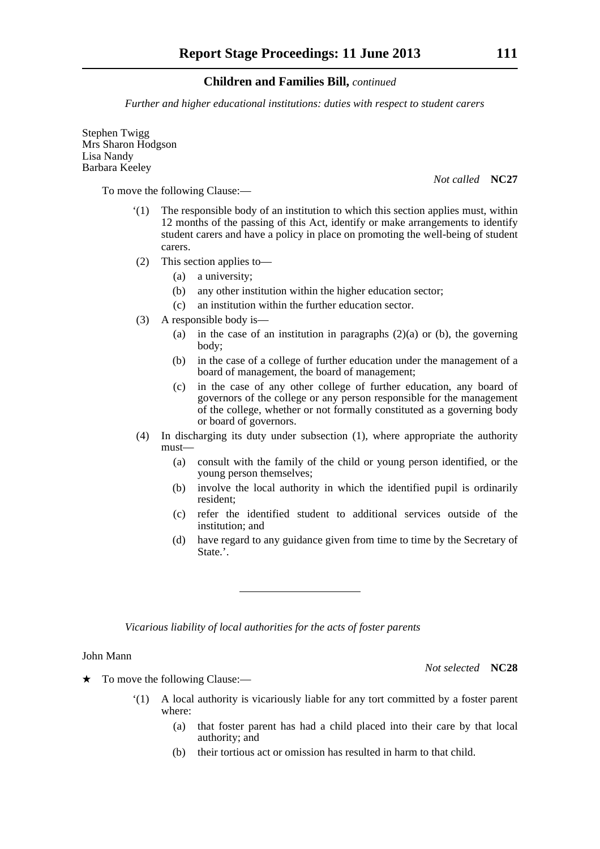*Further and higher educational institutions: duties with respect to student carers*

Stephen Twigg Mrs Sharon Hodgson Lisa Nandy Barbara Keeley

To move the following Clause:—

*Not called* **NC27**

- '(1) The responsible body of an institution to which this section applies must, within 12 months of the passing of this Act, identify or make arrangements to identify student carers and have a policy in place on promoting the well-being of student carers.
- (2) This section applies to—
	- (a) a university;
	- (b) any other institution within the higher education sector;
	- (c) an institution within the further education sector.
- (3) A responsible body is—
	- (a) in the case of an institution in paragraphs  $(2)(a)$  or (b), the governing body;
	- (b) in the case of a college of further education under the management of a board of management, the board of management;
	- (c) in the case of any other college of further education, any board of governors of the college or any person responsible for the management of the college, whether or not formally constituted as a governing body or board of governors.
- (4) In discharging its duty under subsection (1), where appropriate the authority must—
	- (a) consult with the family of the child or young person identified, or the young person themselves;
	- (b) involve the local authority in which the identified pupil is ordinarily resident;
	- (c) refer the identified student to additional services outside of the institution; and
	- (d) have regard to any guidance given from time to time by the Secretary of State.'.

*Vicarious liability of local authorities for the acts of foster parents*

#### John Mann

*Not selected* **NC28**

 $\star$  To move the following Clause:—

- '(1) A local authority is vicariously liable for any tort committed by a foster parent where:
	- (a) that foster parent has had a child placed into their care by that local authority; and
	- (b) their tortious act or omission has resulted in harm to that child.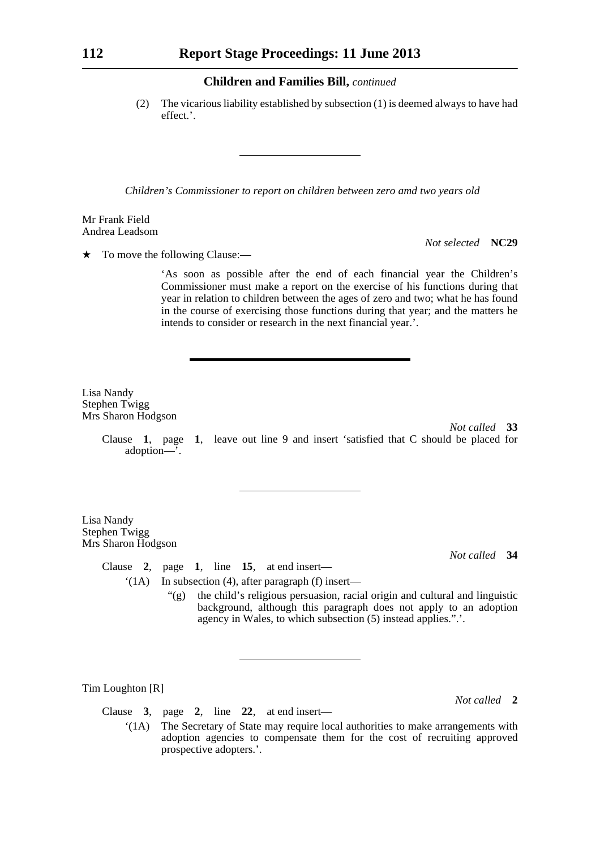(2) The vicarious liability established by subsection (1) is deemed always to have had effect.'.

*Children's Commissioner to report on children between zero amd two years old*

Mr Frank Field Andrea Leadsom

*Not selected* **NC29**

 $\star$  To move the following Clause:—

'As soon as possible after the end of each financial year the Children's Commissioner must make a report on the exercise of his functions during that year in relation to children between the ages of zero and two; what he has found in the course of exercising those functions during that year; and the matters he intends to consider or research in the next financial year.'.

Lisa Nandy Stephen Twigg Mrs Sharon Hodgson

> *Not called* **33** Clause **1**, page **1**, leave out line 9 and insert 'satisfied that C should be placed for adoption—'.

Lisa Nandy Stephen Twigg Mrs Sharon Hodgson

*Not called* **34**

*Not called* **2**

Clause **2**, page **1**, line **15**, at end insert—

'(1A) In subsection (4), after paragraph (f) insert—

"(g) the child's religious persuasion, racial origin and cultural and linguistic background, although this paragraph does not apply to an adoption agency in Wales, to which subsection (5) instead applies.".'.

Tim Loughton [R]

Clause **3**, page **2**, line **22**, at end insert—

'(1A) The Secretary of State may require local authorities to make arrangements with adoption agencies to compensate them for the cost of recruiting approved prospective adopters.'.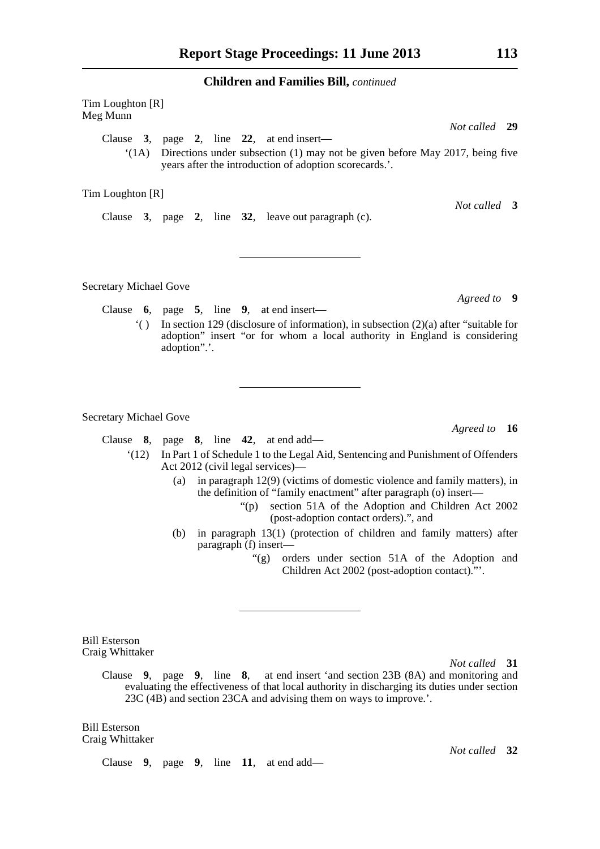Tim Loughton [R] Meg Munn *Not called* **29** Clause **3**, page **2**, line **22**, at end insert—  $'(1)$  Directions under subsection (1) may not be given before May 2017, being five years after the introduction of adoption scorecards.'.

Tim Loughton [R]

Clause **3**, page **2**, line **32**, leave out paragraph (c).

Secretary Michael Gove

Clause **6**, page **5**, line **9**, at end insert—

'( ) In section 129 (disclosure of information), in subsection (2)(a) after "suitable for adoption" insert "or for whom a local authority in England is considering adoption".'.

Secretary Michael Gove

Clause **8**, page **8**, line **42**, at end add—

- '(12) In Part 1 of Schedule 1 to the Legal Aid, Sentencing and Punishment of Offenders Act 2012 (civil legal services)—
	- (a) in paragraph 12(9) (victims of domestic violence and family matters), in the definition of "family enactment" after paragraph (o) insert—
		- "(p) section 51A of the Adoption and Children Act 2002 (post-adoption contact orders).", and
	- (b) in paragraph 13(1) (protection of children and family matters) after paragraph (f) insert—
		- "(g) orders under section 51A of the Adoption and Children Act 2002 (post-adoption contact)."'.

Bill Esterson Craig Whittaker

*Not called* **31**

Clause **9**, page **9**, line **8**, at end insert 'and section 23B (8A) and monitoring and evaluating the effectiveness of that local authority in discharging its duties under section 23C (4B) and section 23CA and advising them on ways to improve.'.

Bill Esterson Craig Whittaker

Clause **9**, page **9**, line **11**, at end add—

*Not called* **3**

*Agreed to* **9**

*Agreed to* **16**

*Not called* **32**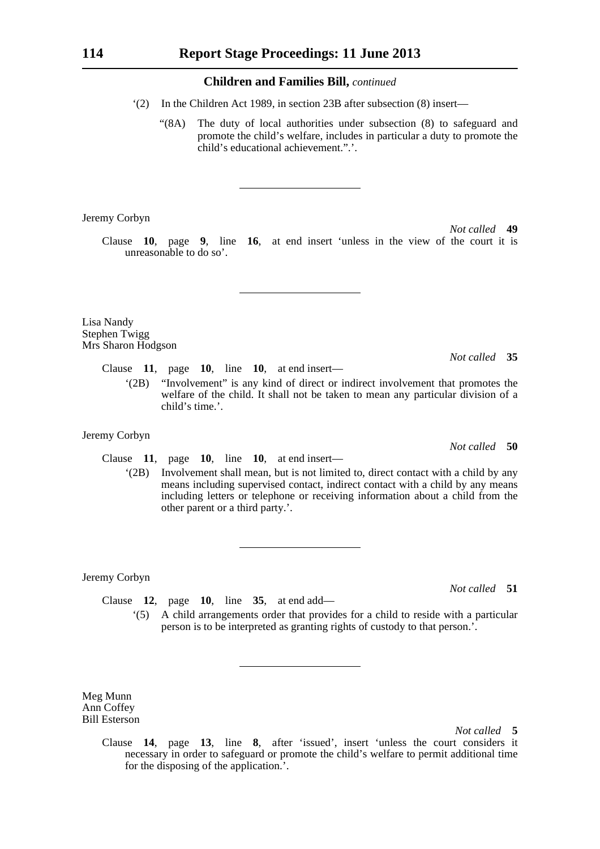- '(2) In the Children Act 1989, in section 23B after subsection (8) insert—
	- "(8A) The duty of local authorities under subsection (8) to safeguard and promote the child's welfare, includes in particular a duty to promote the child's educational achievement.".'.

Jeremy Corbyn

*Not called* **49** Clause **10**, page **9**, line **16**, at end insert 'unless in the view of the court it is unreasonable to do so'.

Lisa Nandy Stephen Twigg Mrs Sharon Hodgson

> Clause **11**, page **10**, line **10**, at end insert— '(2B) "Involvement" is any kind of direct or indirect involvement that promotes the welfare of the child. It shall not be taken to mean any particular division of a child's time.'.

#### Jeremy Corbyn

Clause **11**, page **10**, line **10**, at end insert—

'(2B) Involvement shall mean, but is not limited to, direct contact with a child by any means including supervised contact, indirect contact with a child by any means including letters or telephone or receiving information about a child from the other parent or a third party.'.

#### Jeremy Corbyn

Clause **12**, page **10**, line **35**, at end add— '(5) A child arrangements order that provides for a child to reside with a particular person is to be interpreted as granting rights of custody to that person.'.

Meg Munn Ann Coffey Bill Esterson

*Not called* **5**

Clause **14**, page **13**, line **8**, after 'issued', insert 'unless the court considers it necessary in order to safeguard or promote the child's welfare to permit additional time for the disposing of the application.'.

*Not called* **50**

*Not called* **35**

*Not called* **51**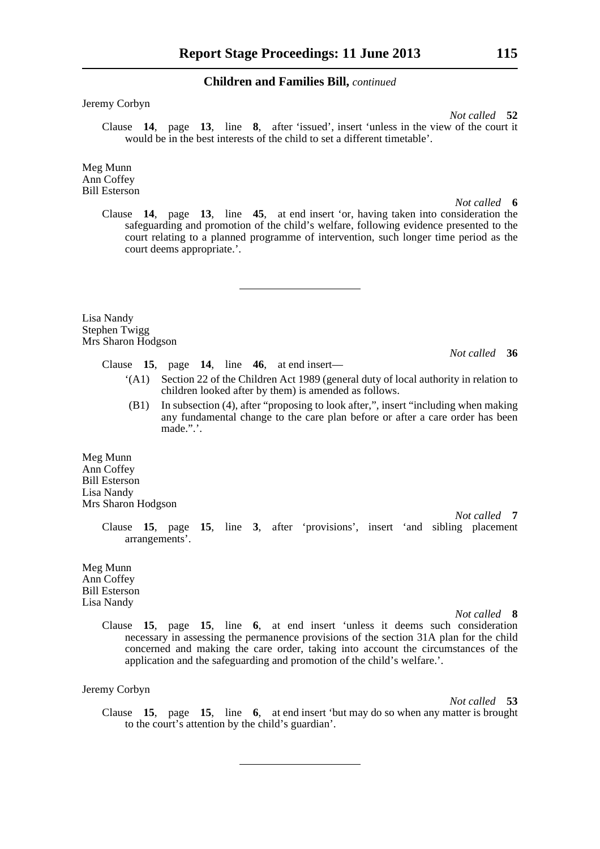Jeremy Corbyn

*Not called* **52** Clause **14**, page **13**, line **8**, after 'issued', insert 'unless in the view of the court it would be in the best interests of the child to set a different timetable'.

Meg Munn Ann Coffey Bill Esterson

*Not called* **6**

Clause **14**, page **13**, line **45**, at end insert 'or, having taken into consideration the safeguarding and promotion of the child's welfare, following evidence presented to the court relating to a planned programme of intervention, such longer time period as the court deems appropriate.'.

Lisa Nandy Stephen Twigg Mrs Sharon Hodgson

*Not called* **36**

- Clause **15**, page **14**, line **46**, at end insert—
	- '(A1) Section 22 of the Children Act 1989 (general duty of local authority in relation to children looked after by them) is amended as follows.
	- (B1) In subsection (4), after "proposing to look after,", insert "including when making any fundamental change to the care plan before or after a care order has been made.".'.

Meg Munn Ann Coffey Bill Esterson Lisa Nandy Mrs Sharon Hodgson

> Clause **15**, page **15**, line **3**, after 'provisions', insert 'and sibling placement arrangements'.

Meg Munn Ann Coffey Bill Esterson Lisa Nandy

*Not called* **8**

*Not called* **7**

Clause **15**, page **15**, line **6**, at end insert 'unless it deems such consideration necessary in assessing the permanence provisions of the section 31A plan for the child concerned and making the care order, taking into account the circumstances of the application and the safeguarding and promotion of the child's welfare.'.

Jeremy Corbyn

*Not called* **53**

Clause **15**, page **15**, line **6**, at end insert 'but may do so when any matter is brought to the court's attention by the child's guardian'.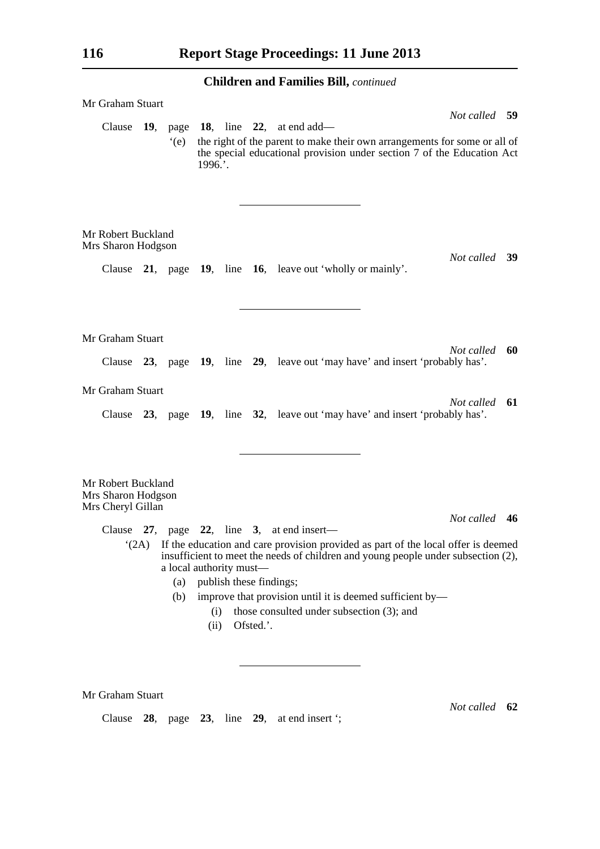| Mr Graham Stuart                                              | Not called 59                                                                                                                                                                                                |                                       |             |                         |           |                                                                                                                                                                                                                                                                                                                                           |               |    |  |
|---------------------------------------------------------------|--------------------------------------------------------------------------------------------------------------------------------------------------------------------------------------------------------------|---------------------------------------|-------------|-------------------------|-----------|-------------------------------------------------------------------------------------------------------------------------------------------------------------------------------------------------------------------------------------------------------------------------------------------------------------------------------------------|---------------|----|--|
| Clause                                                        | 19, page 18, line 22, at end add—<br>the right of the parent to make their own arrangements for some or all of<br>(e)<br>the special educational provision under section 7 of the Education Act<br>$1996.$ . |                                       |             |                         |           |                                                                                                                                                                                                                                                                                                                                           |               |    |  |
| Mr Robert Buckland<br>Mrs Sharon Hodgson                      |                                                                                                                                                                                                              |                                       |             |                         |           | Clause 21, page 19, line 16, leave out 'wholly or mainly'.                                                                                                                                                                                                                                                                                | Not called 39 |    |  |
|                                                               |                                                                                                                                                                                                              |                                       |             |                         |           |                                                                                                                                                                                                                                                                                                                                           |               |    |  |
| Mr Graham Stuart                                              |                                                                                                                                                                                                              |                                       |             |                         |           | Clause 23, page 19, line 29, leave out 'may have' and insert 'probably has'.                                                                                                                                                                                                                                                              | Not called    | 60 |  |
| Mr Graham Stuart                                              |                                                                                                                                                                                                              |                                       |             |                         |           | Clause 23, page 19, line 32, leave out 'may have' and insert 'probably has'.                                                                                                                                                                                                                                                              | Not called    | 61 |  |
| Mr Robert Buckland<br>Mrs Sharon Hodgson<br>Mrs Cheryl Gillan |                                                                                                                                                                                                              |                                       |             |                         |           |                                                                                                                                                                                                                                                                                                                                           |               |    |  |
|                                                               |                                                                                                                                                                                                              | a local authority must-<br>(a)<br>(b) | (i)<br>(ii) | publish these findings; | Ofsted.'. | Clause $27$ , page $22$ , line 3, at end insert—<br>"(2A) If the education and care provision provided as part of the local offer is deemed<br>insufficient to meet the needs of children and young people under subsection (2),<br>improve that provision until it is deemed sufficient by-<br>those consulted under subsection (3); and | Not called 46 |    |  |
|                                                               |                                                                                                                                                                                                              |                                       |             |                         |           |                                                                                                                                                                                                                                                                                                                                           |               |    |  |

Mr Graham Stuart

Clause **28**, page **23**, line **29**, at end insert ';

*Not called* **62**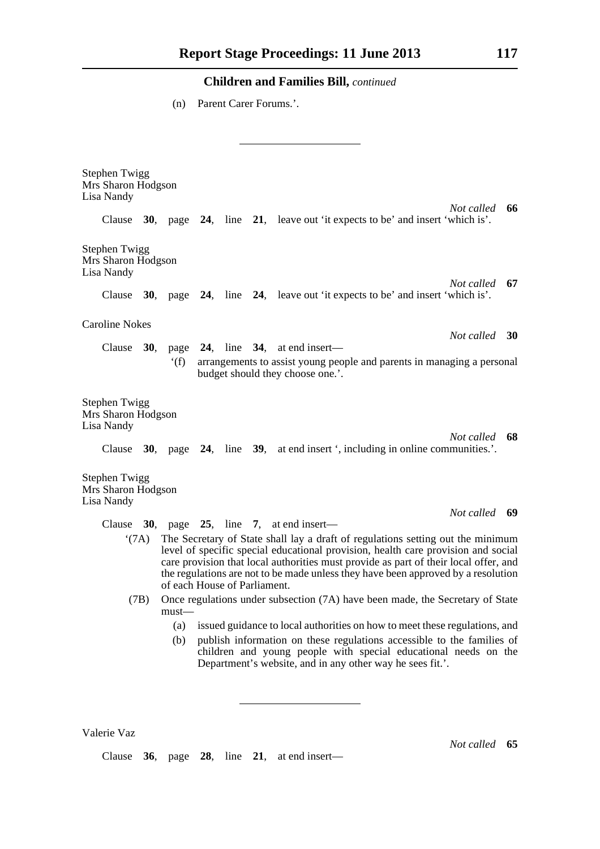(n) Parent Carer Forums.'.

| <b>Stephen Twigg</b><br>Mrs Sharon Hodgson<br>Lisa Nandy                                                                                                                                                      |      |                              |  |  |  |                                                                                                                                                                                                                                                                                                                                                   |               |  |
|---------------------------------------------------------------------------------------------------------------------------------------------------------------------------------------------------------------|------|------------------------------|--|--|--|---------------------------------------------------------------------------------------------------------------------------------------------------------------------------------------------------------------------------------------------------------------------------------------------------------------------------------------------------|---------------|--|
|                                                                                                                                                                                                               |      |                              |  |  |  | Clause 30, page 24, line 21, leave out 'it expects to be' and insert 'which is'.                                                                                                                                                                                                                                                                  | Not called 66 |  |
| <b>Stephen Twigg</b><br>Mrs Sharon Hodgson<br>Lisa Nandy                                                                                                                                                      |      |                              |  |  |  |                                                                                                                                                                                                                                                                                                                                                   |               |  |
|                                                                                                                                                                                                               |      |                              |  |  |  | Clause 30, page 24, line 24, leave out 'it expects to be' and insert 'which is'.                                                                                                                                                                                                                                                                  | Not called 67 |  |
| <b>Caroline Nokes</b>                                                                                                                                                                                         |      |                              |  |  |  |                                                                                                                                                                                                                                                                                                                                                   | Not called 30 |  |
|                                                                                                                                                                                                               |      |                              |  |  |  | Clause $30$ , page $24$ , line $34$ , at end insert—                                                                                                                                                                                                                                                                                              |               |  |
|                                                                                                                                                                                                               |      | f(f)                         |  |  |  | arrangements to assist young people and parents in managing a personal<br>budget should they choose one.'.                                                                                                                                                                                                                                        |               |  |
| <b>Stephen Twigg</b><br>Mrs Sharon Hodgson<br>Lisa Nandy                                                                                                                                                      |      |                              |  |  |  |                                                                                                                                                                                                                                                                                                                                                   | Not called 68 |  |
| <b>Stephen Twigg</b><br>Mrs Sharon Hodgson                                                                                                                                                                    |      |                              |  |  |  | Clause 30, page 24, line 39, at end insert ', including in online communities.'.                                                                                                                                                                                                                                                                  |               |  |
| Lisa Nandy                                                                                                                                                                                                    |      |                              |  |  |  |                                                                                                                                                                                                                                                                                                                                                   |               |  |
|                                                                                                                                                                                                               |      |                              |  |  |  | Clause 30, page 25, line 7, at end insert—                                                                                                                                                                                                                                                                                                        | Not called 69 |  |
|                                                                                                                                                                                                               | (7A) | of each House of Parliament. |  |  |  | The Secretary of State shall lay a draft of regulations setting out the minimum<br>level of specific special educational provision, health care provision and social<br>care provision that local authorities must provide as part of their local offer, and<br>the regulations are not to be made unless they have been approved by a resolution |               |  |
|                                                                                                                                                                                                               | (7B) | must—                        |  |  |  | Once regulations under subsection (7A) have been made, the Secretary of State                                                                                                                                                                                                                                                                     |               |  |
|                                                                                                                                                                                                               |      | (a)                          |  |  |  | issued guidance to local authorities on how to meet these regulations, and                                                                                                                                                                                                                                                                        |               |  |
| (b)<br>publish information on these regulations accessible to the families of<br>children and young people with special educational needs on the<br>Department's website, and in any other way he sees fit.'. |      |                              |  |  |  |                                                                                                                                                                                                                                                                                                                                                   |               |  |
|                                                                                                                                                                                                               |      |                              |  |  |  |                                                                                                                                                                                                                                                                                                                                                   |               |  |

Clause **36**, page **28**, line **21**, at end insert—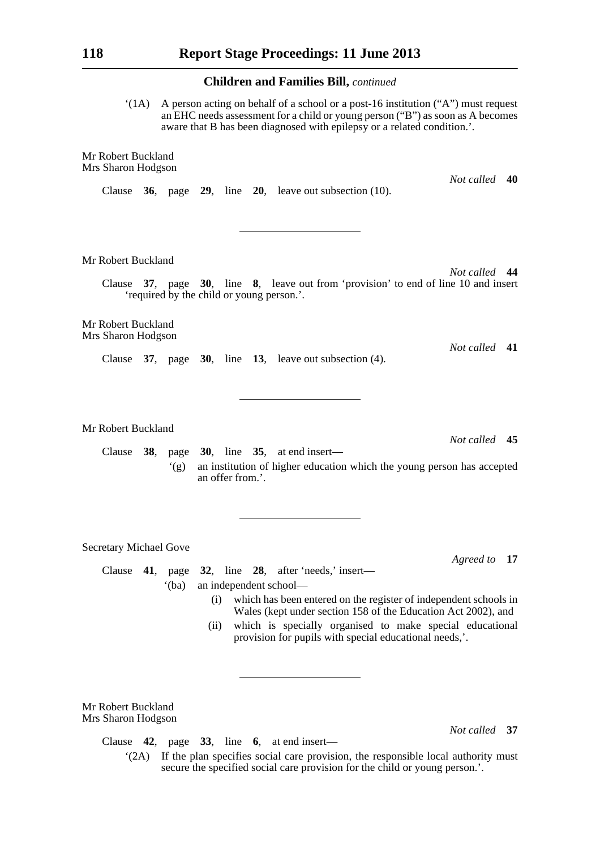$'(1A)$  A person acting on behalf of a school or a post-16 institution  $('A")$  must request an EHC needs assessment for a child or young person ("B") as soon as A becomes aware that B has been diagnosed with epilepsy or a related condition.'.

Mr Robert Buckland Mrs Sharon Hodgson

Clause **36**, page **29**, line **20**, leave out subsection (10).

Mr Robert Buckland

Clause **37**, page **30**, line **8**, leave out from 'provision' to end of line 10 and insert 'required by the child or young person.'.

Mr Robert Buckland Mrs Sharon Hodgson

Clause **37**, page **30**, line **13**, leave out subsection (4).

Mr Robert Buckland

Clause **38**, page **30**, line **35**, at end insert— '(g) an institution of higher education which the young person has accepted an offer from.'.

Secretary Michael Gove

Clause **41**, page **32**, line **28**, after 'needs,' insert—

'(ba) an independent school—

- (i) which has been entered on the register of independent schools in Wales (kept under section 158 of the Education Act 2002), and
- (ii) which is specially organised to make special educational provision for pupils with special educational needs,'.

Mr Robert Buckland Mrs Sharon Hodgson

Clause **42**, page **33**, line **6**, at end insert—

'(2A) If the plan specifies social care provision, the responsible local authority must secure the specified social care provision for the child or young person.'.

*Agreed to* **17**

*Not called* **37**

*Not called* **41**

*Not called* **45**

*Not called* **44**

*Not called* **40**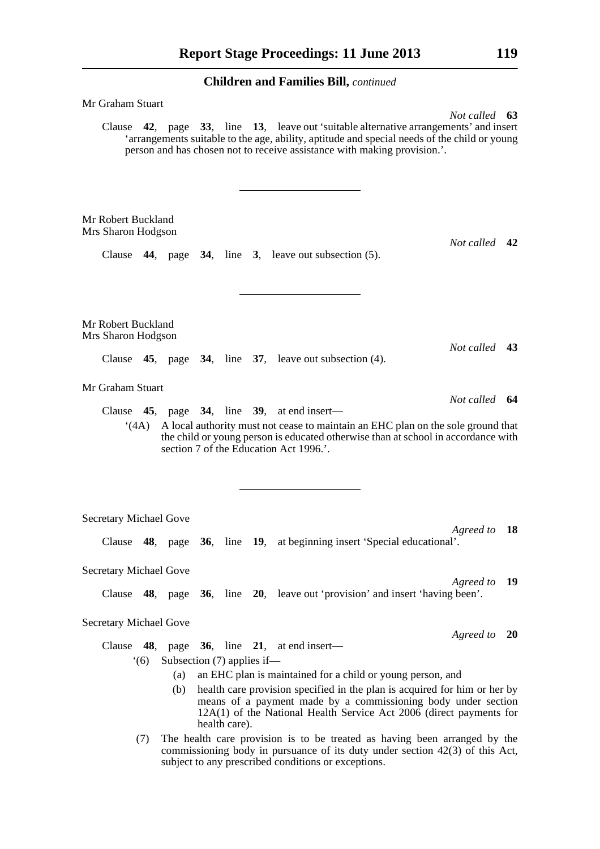| Mr Graham Stuart                         |      |                              |               |                                                                                                                                                                                                                                                                         |               |    |
|------------------------------------------|------|------------------------------|---------------|-------------------------------------------------------------------------------------------------------------------------------------------------------------------------------------------------------------------------------------------------------------------------|---------------|----|
|                                          |      |                              |               | Clause 42, page 33, line 13, leave out 'suitable alternative arrangements' and insert<br>'arrangements suitable to the age, ability, aptitude and special needs of the child or young<br>person and has chosen not to receive assistance with making provision          | Not called 63 |    |
| Mr Robert Buckland<br>Mrs Sharon Hodgson |      |                              |               | Clause $44$ , page $34$ , line 3, leave out subsection $(5)$ .                                                                                                                                                                                                          | Not called 42 |    |
| Mr Robert Buckland<br>Mrs Sharon Hodgson |      |                              |               |                                                                                                                                                                                                                                                                         | Not called 43 |    |
|                                          |      |                              |               | Clause 45, page 34, line 37, leave out subsection (4).                                                                                                                                                                                                                  |               |    |
| Mr Graham Stuart                         |      |                              |               |                                                                                                                                                                                                                                                                         | Not called 64 |    |
|                                          | (4A) |                              |               | Clause $45$ , page $34$ , line $39$ , at end insert—<br>A local authority must not cease to maintain an EHC plan on the sole ground that<br>the child or young person is educated otherwise than at school in accordance with<br>section 7 of the Education Act 1996.'. |               |    |
| <b>Secretary Michael Gove</b>            |      |                              |               |                                                                                                                                                                                                                                                                         |               |    |
|                                          |      |                              |               | Clause 48, page 36, line 19, at beginning insert 'Special educational'.                                                                                                                                                                                                 | Agreed to 18  |    |
| <b>Secretary Michael Gove</b>            |      |                              |               |                                                                                                                                                                                                                                                                         |               |    |
|                                          |      |                              |               | Clause 48, page 36, line 20, leave out 'provision' and insert 'having been'.                                                                                                                                                                                            | Agreed to     | 19 |
| <b>Secretary Michael Gove</b>            |      |                              |               |                                                                                                                                                                                                                                                                         |               |    |
|                                          |      |                              |               | Clause $48$ , page $36$ , line $21$ , at end insert—                                                                                                                                                                                                                    | Agreed to 20  |    |
|                                          | (6)  | Subsection $(7)$ applies if— |               |                                                                                                                                                                                                                                                                         |               |    |
|                                          |      | (a)                          |               | an EHC plan is maintained for a child or young person, and                                                                                                                                                                                                              |               |    |
|                                          |      | (b)                          | health care). | health care provision specified in the plan is acquired for him or her by<br>means of a payment made by a commissioning body under section<br>12A(1) of the National Health Service Act 2006 (direct payments for                                                       |               |    |
|                                          | (7)  |                              |               | The health care provision is to be treated as having been arranged by the<br>commissioning body in pursuance of its duty under section $42(3)$ of this Act,<br>subject to any prescribed conditions or exceptions.                                                      |               |    |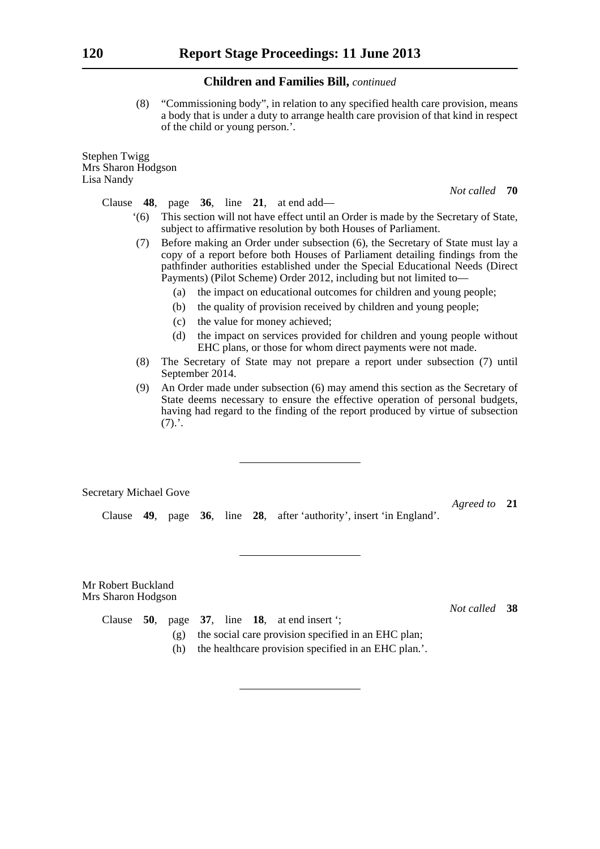(8) "Commissioning body", in relation to any specified health care provision, means a body that is under a duty to arrange health care provision of that kind in respect of the child or young person.'.

Stephen Twigg Mrs Sharon Hodgson Lisa Nandy

*Not called* **70**

Clause **48**, page **36**, line **21**, at end add—

- '(6) This section will not have effect until an Order is made by the Secretary of State, subject to affirmative resolution by both Houses of Parliament.
- (7) Before making an Order under subsection (6), the Secretary of State must lay a copy of a report before both Houses of Parliament detailing findings from the pathfinder authorities established under the Special Educational Needs (Direct Payments) (Pilot Scheme) Order 2012, including but not limited to—
	- (a) the impact on educational outcomes for children and young people;
	- (b) the quality of provision received by children and young people;
	- (c) the value for money achieved;
	- (d) the impact on services provided for children and young people without EHC plans, or those for whom direct payments were not made.
- (8) The Secretary of State may not prepare a report under subsection (7) until September 2014.
- (9) An Order made under subsection (6) may amend this section as the Secretary of State deems necessary to ensure the effective operation of personal budgets, having had regard to the finding of the report produced by virtue of subsection  $(7).'.$

Secretary Michael Gove

*Agreed to* **21**

Clause **49**, page **36**, line **28**, after 'authority', insert 'in England'.

Mr Robert Buckland Mrs Sharon Hodgson

*Not called* **38**

- Clause **50**, page **37**, line **18**, at end insert '; (g) the social care provision specified in an EHC plan;
	- (h) the healthcare provision specified in an EHC plan.'.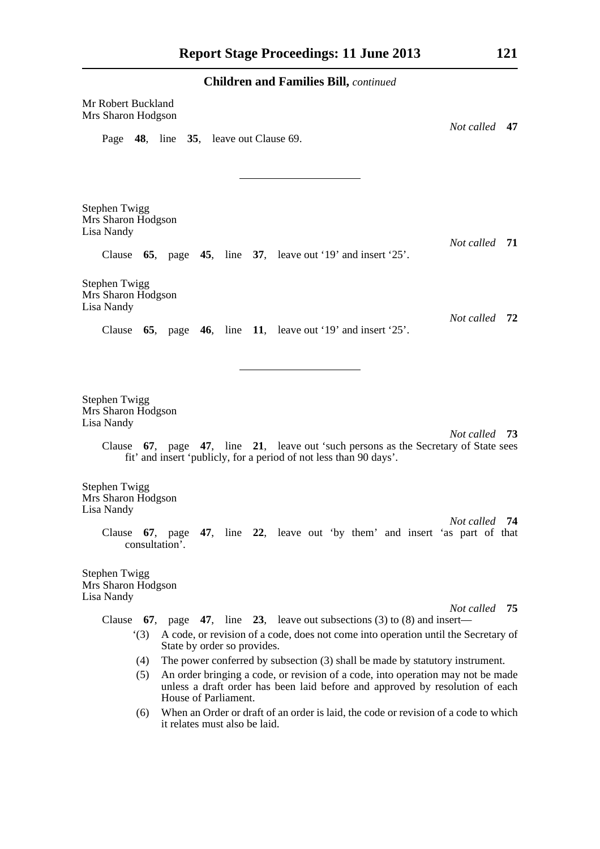**Children and Families Bill,** *continued* Mr Robert Buckland Mrs Sharon Hodgson *Not called* **47** Page **48**, line **35**, leave out Clause 69. Stephen Twigg Mrs Sharon Hodgson Lisa Nandy *Not called* **71** Clause **65**, page **45**, line **37**, leave out '19' and insert '25'. Stephen Twigg Mrs Sharon Hodgson Lisa Nandy *Not called* **72** Clause **65**, page **46**, line **11**, leave out '19' and insert '25'. Stephen Twigg Mrs Sharon Hodgson Lisa Nandy *Not called* **73** Clause **67**, page **47**, line **21**, leave out 'such persons as the Secretary of State sees fit' and insert 'publicly, for a period of not less than 90 days'. Stephen Twigg Mrs Sharon Hodgson Lisa Nandy *Not called* **74** Clause **67**, page **47**, line **22**, leave out 'by them' and insert 'as part of that consultation'. Stephen Twigg Mrs Sharon Hodgson Lisa Nandy *Not called* **75** Clause **67**, page **47**, line **23**, leave out subsections (3) to (8) and insert— '(3) A code, or revision of a code, does not come into operation until the Secretary of State by order so provides. (4) The power conferred by subsection (3) shall be made by statutory instrument. (5) An order bringing a code, or revision of a code, into operation may not be made unless a draft order has been laid before and approved by resolution of each House of Parliament.

> (6) When an Order or draft of an order is laid, the code or revision of a code to which it relates must also be laid.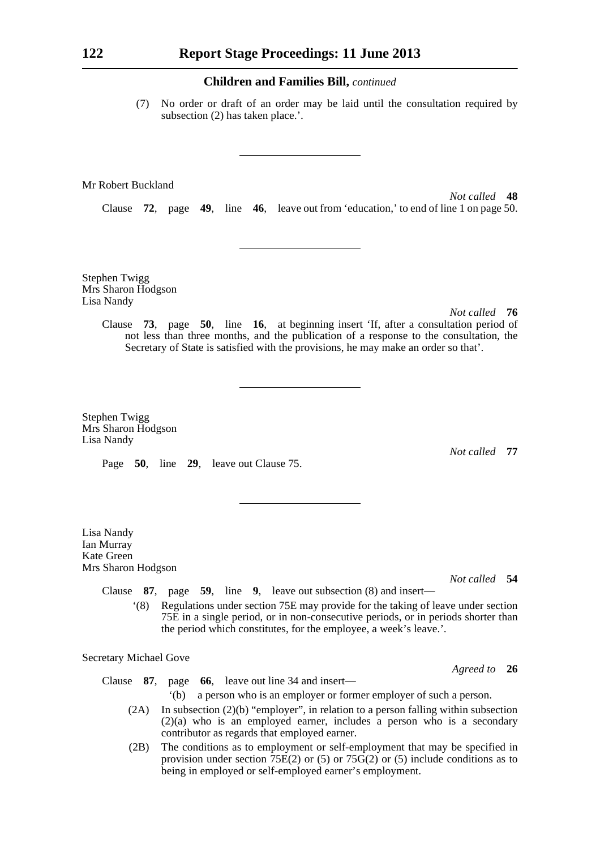(7) No order or draft of an order may be laid until the consultation required by subsection (2) has taken place.'.

Mr Robert Buckland

*Not called* **48** Clause **72**, page **49**, line **46**, leave out from 'education,' to end of line 1 on page 50.

Stephen Twigg Mrs Sharon Hodgson Lisa Nandy

*Not called* **76**

Clause **73**, page **50**, line **16**, at beginning insert 'If, after a consultation period of not less than three months, and the publication of a response to the consultation, the Secretary of State is satisfied with the provisions, he may make an order so that'.

Stephen Twigg Mrs Sharon Hodgson Lisa Nandy

Page **50**, line **29**, leave out Clause 75.

Lisa Nandy Ian Murray Kate Green Mrs Sharon Hodgson *Not called* **77**

*Not called* **54**

*Agreed to* **26**

Clause **87**, page **59**, line **9**, leave out subsection (8) and insert—

'(8) Regulations under section 75E may provide for the taking of leave under section 75E in a single period, or in non-consecutive periods, or in periods shorter than the period which constitutes, for the employee, a week's leave.'.

Secretary Michael Gove

Clause **87**, page **66**, leave out line 34 and insert—

- '(b) a person who is an employer or former employer of such a person.
- (2A) In subsection (2)(b) "employer", in relation to a person falling within subsection (2)(a) who is an employed earner, includes a person who is a secondary contributor as regards that employed earner.
- (2B) The conditions as to employment or self-employment that may be specified in provision under section  $75E(2)$  or (5) or  $75G(2)$  or (5) include conditions as to being in employed or self-employed earner's employment.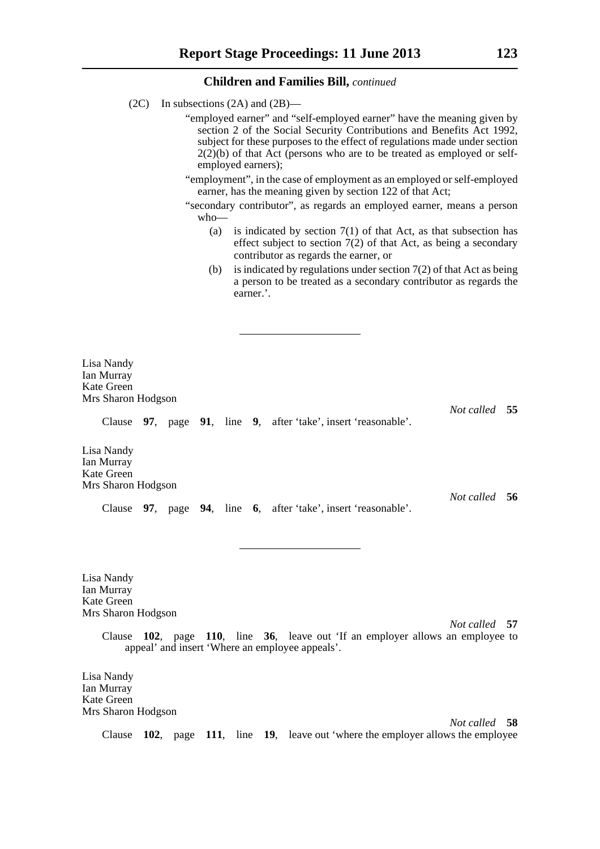- (2C) In subsections (2A) and (2B)—
	- "employed earner" and "self-employed earner" have the meaning given by section 2 of the Social Security Contributions and Benefits Act 1992, subject for these purposes to the effect of regulations made under section  $2(2)(b)$  of that Act (persons who are to be treated as employed or selfemployed earners);
	- "employment", in the case of employment as an employed or self-employed earner, has the meaning given by section 122 of that Act;
	- "secondary contributor", as regards an employed earner, means a person who—
		- (a) is indicated by section  $7(1)$  of that Act, as that subsection has effect subject to section 7(2) of that Act, as being a secondary contributor as regards the earner, or
		- (b) is indicated by regulations under section  $7(2)$  of that Act as being a person to be treated as a secondary contributor as regards the earner.'.

Lisa Nandy Ian Murray Kate Green Mrs Sharon Hodgson

Clause **97**, page **91**, line **9**, after 'take', insert 'reasonable'.

Lisa Nandy Ian Murray Kate Green Mrs Sharon Hodgson

Clause **97**, page **94**, line **6**, after 'take', insert 'reasonable'.

Lisa Nandy Ian Murray Kate Green Mrs Sharon Hodgson

*Not called* **57**

*Not called* **55**

*Not called* **56**

Clause **102**, page **110**, line **36**, leave out 'If an employer allows an employee to appeal' and insert 'Where an employee appeals'.

Lisa Nandy Ian Murray Kate Green Mrs Sharon Hodgson

*Not called* **58** Clause **102**, page **111**, line **19**, leave out 'where the employer allows the employee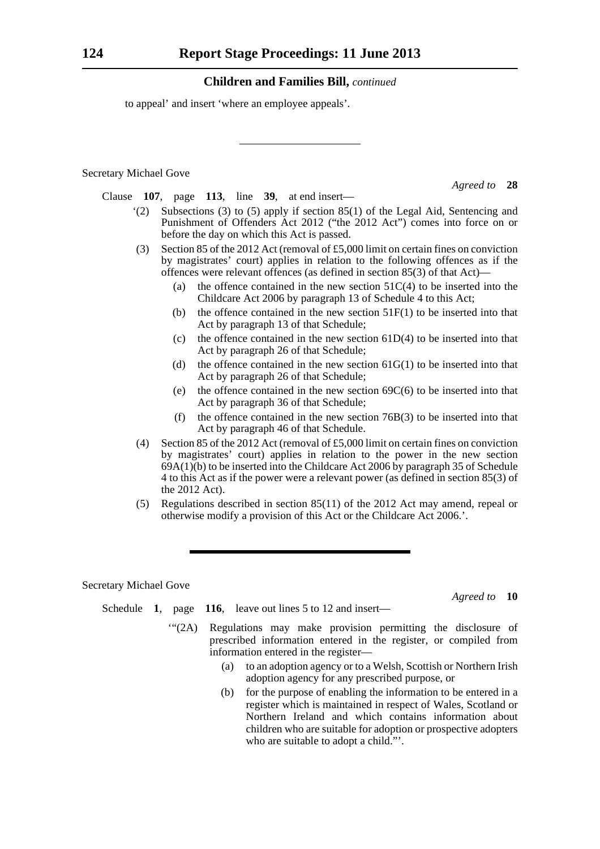to appeal' and insert 'where an employee appeals'.

Secretary Michael Gove

*Agreed to* **28**

Clause **107**, page **113**, line **39**, at end insert—

- '(2) Subsections (3) to (5) apply if section 85(1) of the Legal Aid, Sentencing and Punishment of Offenders Act 2012 ("the 2012 Act") comes into force on or before the day on which this Act is passed.
- (3) Section 85 of the 2012 Act (removal of £5,000 limit on certain fines on conviction by magistrates' court) applies in relation to the following offences as if the offences were relevant offences (as defined in section 85(3) of that Act)—
	- (a) the offence contained in the new section  $51C(4)$  to be inserted into the Childcare Act 2006 by paragraph 13 of Schedule 4 to this Act;
	- (b) the offence contained in the new section  $51F(1)$  to be inserted into that Act by paragraph 13 of that Schedule;
	- (c) the offence contained in the new section  $61D(4)$  to be inserted into that Act by paragraph 26 of that Schedule;
	- (d) the offence contained in the new section  $61G(1)$  to be inserted into that Act by paragraph 26 of that Schedule;
	- (e) the offence contained in the new section  $69C(6)$  to be inserted into that Act by paragraph 36 of that Schedule;
	- (f) the offence contained in the new section  $76B(3)$  to be inserted into that Act by paragraph 46 of that Schedule.
- (4) Section 85 of the 2012 Act (removal of £5,000 limit on certain fines on conviction by magistrates' court) applies in relation to the power in the new section 69A(1)(b) to be inserted into the Childcare Act 2006 by paragraph 35 of Schedule 4 to this Act as if the power were a relevant power (as defined in section 85(3) of the 2012 Act).
- (5) Regulations described in section 85(11) of the 2012 Act may amend, repeal or otherwise modify a provision of this Act or the Childcare Act 2006.'.

Secretary Michael Gove

*Agreed to* **10**

- Schedule **1**, page **116**, leave out lines 5 to 12 and insert—
	- '"(2A) Regulations may make provision permitting the disclosure of prescribed information entered in the register, or compiled from information entered in the register—
		- (a) to an adoption agency or to a Welsh, Scottish or Northern Irish adoption agency for any prescribed purpose, or
		- (b) for the purpose of enabling the information to be entered in a register which is maintained in respect of Wales, Scotland or Northern Ireland and which contains information about children who are suitable for adoption or prospective adopters who are suitable to adopt a child."'.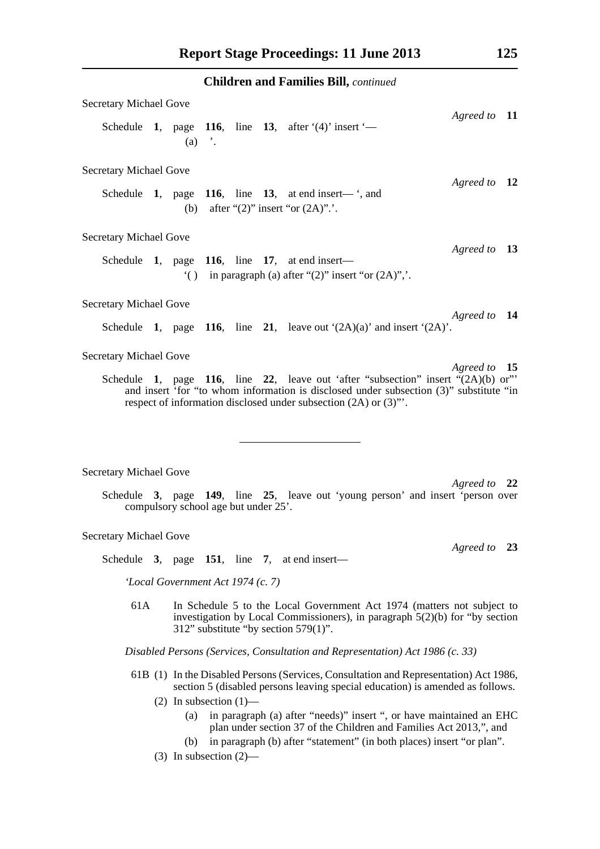| <b>Secretary Michael Gove</b> |  |  |          |  |  |                                                                                                                                                                                                                                                  |              |  |  |
|-------------------------------|--|--|----------|--|--|--------------------------------------------------------------------------------------------------------------------------------------------------------------------------------------------------------------------------------------------------|--------------|--|--|
|                               |  |  | $(a)$ '. |  |  | Schedule 1, page 116, line 13, after $(4)$ insert $-$                                                                                                                                                                                            | Agreed to 11 |  |  |
| <b>Secretary Michael Gove</b> |  |  |          |  |  |                                                                                                                                                                                                                                                  |              |  |  |
|                               |  |  |          |  |  | Schedule 1, page 116, line 13, at end insert— $\cdot$ , and<br>(b) after " $(2)$ " insert "or $(2A)$ "                                                                                                                                           | Agreed to 12 |  |  |
| <b>Secretary Michael Gove</b> |  |  |          |  |  |                                                                                                                                                                                                                                                  |              |  |  |
|                               |  |  |          |  |  | Schedule 1, page 116, line 17, at end insert—<br>() in paragraph (a) after " $(2)$ " insert "or $(2A)$ ",.                                                                                                                                       | Agreed to 13 |  |  |
| <b>Secretary Michael Gove</b> |  |  |          |  |  |                                                                                                                                                                                                                                                  |              |  |  |
|                               |  |  |          |  |  | Schedule 1, page 116, line 21, leave out $(2A)(a)$ and insert $(2A)$ .                                                                                                                                                                           | Agreed to 14 |  |  |
| <b>Secretary Michael Gove</b> |  |  |          |  |  |                                                                                                                                                                                                                                                  |              |  |  |
|                               |  |  |          |  |  | Schedule 1, page 116, line 22, leave out 'after "subsection" insert " $(2A)(b)$ or"<br>and insert 'for "to whom information is disclosed under subsection (3)" substitute "in<br>respect of information disclosed under subsection (2A) or (3)". | Agreed to 15 |  |  |

#### Secretary Michael Gove

*Agreed to* **22** Schedule **3**, page **149**, line **25**, leave out 'young person' and insert 'person over compulsory school age but under 25'.

#### Secretary Michael Gove

Schedule **3**, page **151**, line **7**, at end insert—

*'Local Government Act 1974 (c. 7)*

61A In Schedule 5 to the Local Government Act 1974 (matters not subject to investigation by Local Commissioners), in paragraph 5(2)(b) for "by section 312" substitute "by section 579(1)".

*Disabled Persons (Services, Consultation and Representation) Act 1986 (c. 33)*

- 61B (1) In the Disabled Persons (Services, Consultation and Representation) Act 1986, section 5 (disabled persons leaving special education) is amended as follows.
	- (2) In subsection  $(1)$ -
		- (a) in paragraph (a) after "needs)" insert ", or have maintained an EHC plan under section 37 of the Children and Families Act 2013,", and
		- (b) in paragraph (b) after "statement" (in both places) insert "or plan".
	- (3) In subsection (2)—

*Agreed to* **23**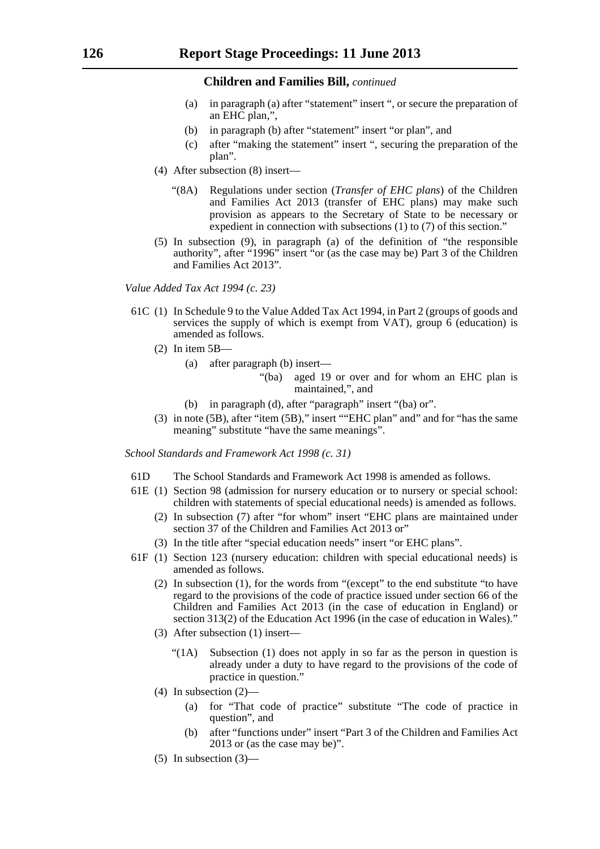- (a) in paragraph (a) after "statement" insert ", or secure the preparation of an EHC plan,",
- (b) in paragraph (b) after "statement" insert "or plan", and
- (c) after "making the statement" insert ", securing the preparation of the plan".
- (4) After subsection (8) insert—
	- "(8A) Regulations under section (*Transfer of EHC plans*) of the Children and Families Act 2013 (transfer of EHC plans) may make such provision as appears to the Secretary of State to be necessary or expedient in connection with subsections (1) to (7) of this section."
- (5) In subsection (9), in paragraph (a) of the definition of "the responsible authority", after "1996" insert "or (as the case may be) Part 3 of the Children and Families Act 2013".

*Value Added Tax Act 1994 (c. 23)*

- 61C (1) In Schedule 9 to the Value Added Tax Act 1994, in Part 2 (groups of goods and services the supply of which is exempt from VAT), group  $\vec{6}$  (education) is amended as follows.
	- $(2)$  In item  $5B$ 
		- (a) after paragraph (b) insert—
			- "(ba) aged 19 or over and for whom an EHC plan is maintained,", and
		- (b) in paragraph (d), after "paragraph" insert "(ba) or".
	- (3) in note (5B), after "item (5B)," insert ""EHC plan" and" and for "has the same meaning" substitute "have the same meanings".

*School Standards and Framework Act 1998 (c. 31)*

- 61D The School Standards and Framework Act 1998 is amended as follows.
- 61E (1) Section 98 (admission for nursery education or to nursery or special school: children with statements of special educational needs) is amended as follows.
	- (2) In subsection (7) after "for whom" insert "EHC plans are maintained under section 37 of the Children and Families Act 2013 or"
	- (3) In the title after "special education needs" insert "or EHC plans".
- 61F (1) Section 123 (nursery education: children with special educational needs) is amended as follows.
	- (2) In subsection (1), for the words from "(except" to the end substitute "to have regard to the provisions of the code of practice issued under section 66 of the Children and Families Act 2013 (in the case of education in England) or section 313(2) of the Education Act 1996 (in the case of education in Wales)."
	- (3) After subsection (1) insert—
		- "(1A) Subsection (1) does not apply in so far as the person in question is already under a duty to have regard to the provisions of the code of practice in question."
	- (4) In subsection (2)—
		- (a) for "That code of practice" substitute "The code of practice in question", and
		- (b) after "functions under" insert "Part 3 of the Children and Families Act 2013 or (as the case may be)".
	- $(5)$  In subsection  $(3)$ —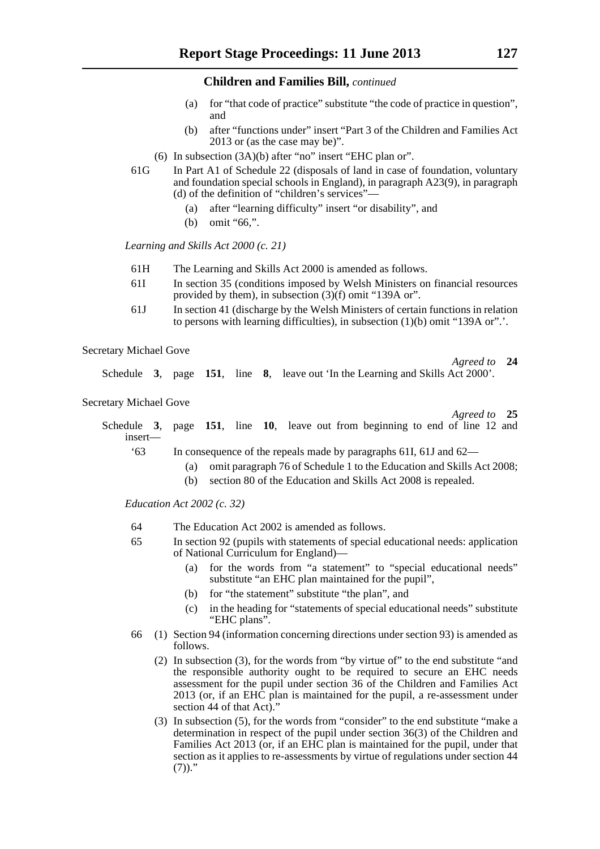- (a) for "that code of practice" substitute "the code of practice in question", and
- (b) after "functions under" insert "Part 3 of the Children and Families Act 2013 or (as the case may be)".
- (6) In subsection (3A)(b) after "no" insert "EHC plan or".
- 61G In Part A1 of Schedule 22 (disposals of land in case of foundation, voluntary and foundation special schools in England), in paragraph A23(9), in paragraph (d) of the definition of "children's services"—
	- (a) after "learning difficulty" insert "or disability", and
	- (b) omit "66,".

*Learning and Skills Act 2000 (c. 21)*

- 61H The Learning and Skills Act 2000 is amended as follows.
- 61I In section 35 (conditions imposed by Welsh Ministers on financial resources provided by them), in subsection (3)(f) omit "139A or".
- 61J In section 41 (discharge by the Welsh Ministers of certain functions in relation to persons with learning difficulties), in subsection (1)(b) omit "139A or".'.

Secretary Michael Gove

Schedule **3**, page **151**, line **8**, leave out 'In the Learning and Skills Act 2000'.

Secretary Michael Gove

*Agreed to* **25**

*Agreed to* **24**

| Schedule 3, page 151, line 10, leave out from beginning to end of line 12 and<br>$insert$ — |  |  |  |                                                                      |  |  |  |
|---------------------------------------------------------------------------------------------|--|--|--|----------------------------------------------------------------------|--|--|--|
|                                                                                             |  |  |  | In consequence of the repeate made by personals $61I_61I_8$ and $62$ |  |  |  |

- '63 In consequence of the repeals made by paragraphs 61I, 61J and 62—
	- (a) omit paragraph 76 of Schedule 1 to the Education and Skills Act 2008;
	- (b) section 80 of the Education and Skills Act 2008 is repealed.

*Education Act 2002 (c. 32)*

- 64 The Education Act 2002 is amended as follows.
- 65 In section 92 (pupils with statements of special educational needs: application of National Curriculum for England)—
	- (a) for the words from "a statement" to "special educational needs" substitute "an EHC plan maintained for the pupil",
	- (b) for "the statement" substitute "the plan", and
	- (c) in the heading for "statements of special educational needs" substitute "EHC plans".
- 66 (1) Section 94 (information concerning directions under section 93) is amended as follows.
	- (2) In subsection (3), for the words from "by virtue of" to the end substitute "and the responsible authority ought to be required to secure an EHC needs assessment for the pupil under section 36 of the Children and Families Act  $2013$  (or, if an EHC plan is maintained for the pupil, a re-assessment under section 44 of that Act)."
	- (3) In subsection (5), for the words from "consider" to the end substitute "make a determination in respect of the pupil under section 36(3) of the Children and Families Act 2013 (or, if an EHC plan is maintained for the pupil, under that section as it applies to re-assessments by virtue of regulations under section 44  $(7)$ )."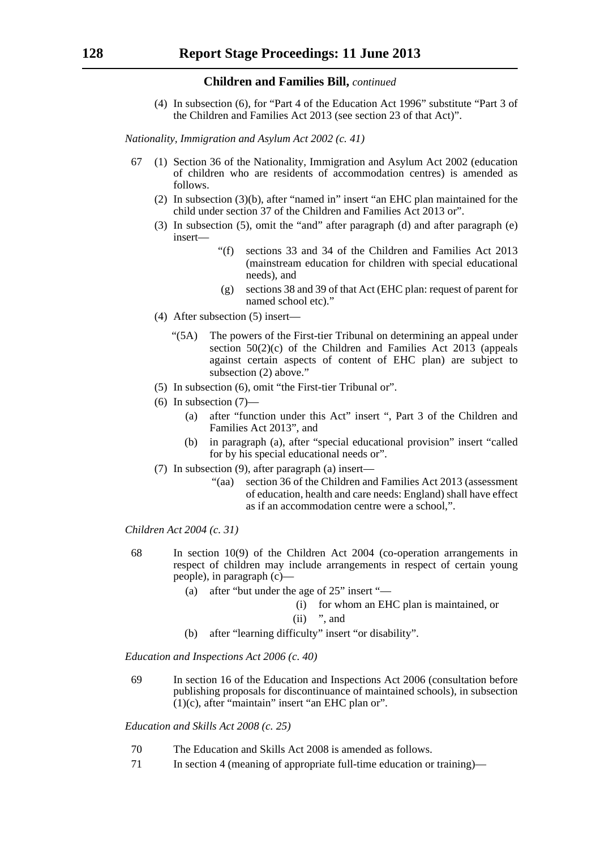(4) In subsection (6), for "Part 4 of the Education Act 1996" substitute "Part 3 of the Children and Families Act 2013 (see section 23 of that Act)".

*Nationality, Immigration and Asylum Act 2002 (c. 41)*

- 67 (1) Section 36 of the Nationality, Immigration and Asylum Act 2002 (education of children who are residents of accommodation centres) is amended as follows.
	- (2) In subsection (3)(b), after "named in" insert "an EHC plan maintained for the child under section 37 of the Children and Families Act 2013 or".
	- (3) In subsection (5), omit the "and" after paragraph (d) and after paragraph (e) insert—
		- "(f) sections 33 and 34 of the Children and Families Act 2013 (mainstream education for children with special educational needs), and
		- (g) sections 38 and 39 of that Act (EHC plan: request of parent for named school etc)."
	- (4) After subsection (5) insert—
		- "(5A) The powers of the First-tier Tribunal on determining an appeal under section  $50(2)(c)$  of the Children and Families Act  $20\overline{13}$  (appeals against certain aspects of content of EHC plan) are subject to subsection (2) above."
	- (5) In subsection (6), omit "the First-tier Tribunal or".
	- $(6)$  In subsection  $(7)$ 
		- (a) after "function under this Act" insert ", Part 3 of the Children and Families Act 2013", and
		- (b) in paragraph (a), after "special educational provision" insert "called for by his special educational needs or".
	- (7) In subsection (9), after paragraph (a) insert—
		- "(aa) section 36 of the Children and Families Act 2013 (assessment of education, health and care needs: England) shall have effect as if an accommodation centre were a school,".

*Children Act 2004 (c. 31)*

- 68 In section 10(9) of the Children Act 2004 (co-operation arrangements in respect of children may include arrangements in respect of certain young people), in paragraph (c)—
	- (a) after "but under the age of 25" insert "—
		- (i) for whom an EHC plan is maintained, or
		- $(ii)$  ", and
	- (b) after "learning difficulty" insert "or disability".

*Education and Inspections Act 2006 (c. 40)*

69 In section 16 of the Education and Inspections Act 2006 (consultation before publishing proposals for discontinuance of maintained schools), in subsection  $(1)(c)$ , after "maintain" insert "an EHC plan or".

*Education and Skills Act 2008 (c. 25)*

- 70 The Education and Skills Act 2008 is amended as follows.
- 71 In section 4 (meaning of appropriate full-time education or training)—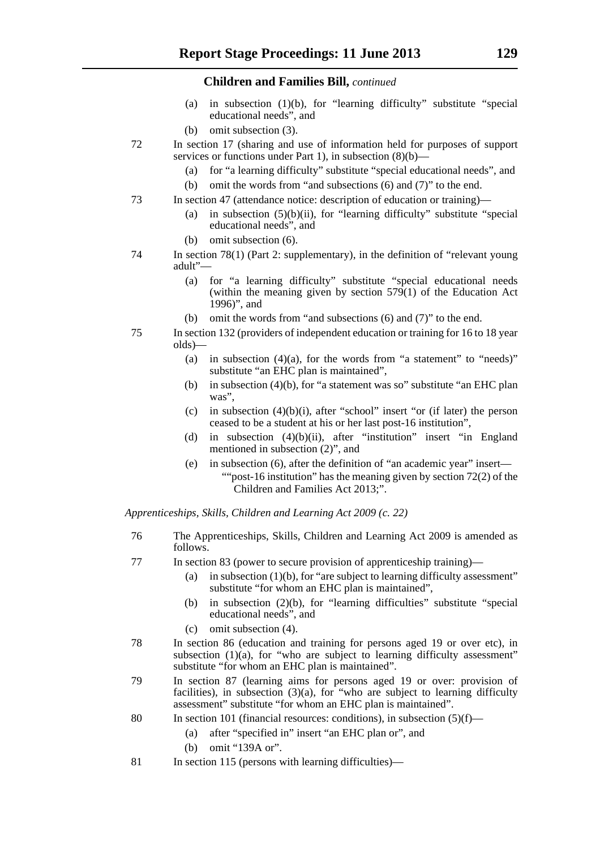- (a) in subsection (1)(b), for "learning difficulty" substitute "special educational needs", and
- (b) omit subsection (3).
- 72 In section 17 (sharing and use of information held for purposes of support services or functions under Part 1), in subsection (8)(b)-
	- (a) for "a learning difficulty" substitute "special educational needs", and
	- (b) omit the words from "and subsections (6) and (7)" to the end.
- 73 In section 47 (attendance notice: description of education or training)—
	- (a) in subsection  $(5)(b)(ii)$ , for "learning difficulty" substitute "special educational needs", and
	- (b) omit subsection (6).
- 74 In section 78(1) (Part 2: supplementary), in the definition of "relevant young adult"—
	- (a) for "a learning difficulty" substitute "special educational needs (within the meaning given by section  $579(1)$  of the Education Act 1996)", and
	- (b) omit the words from "and subsections (6) and (7)" to the end.
- 75 In section 132 (providers of independent education or training for 16 to 18 year olds)—
	- (a) in subsection  $(4)(a)$ , for the words from "a statement" to "needs)" substitute "an EHC plan is maintained",
	- (b) in subsection (4)(b), for "a statement was so" substitute "an EHC plan was".
	- (c) in subsection  $(4)(b)(i)$ , after "school" insert "or (if later) the person ceased to be a student at his or her last post-16 institution",
	- (d) in subsection (4)(b)(ii), after "institution" insert "in England mentioned in subsection (2)", and
	- (e) in subsection (6), after the definition of "an academic year" insert— ""post-16 institution" has the meaning given by section 72(2) of the Children and Families Act 2013;".

*Apprenticeships, Skills, Children and Learning Act 2009 (c. 22)*

- 76 The Apprenticeships, Skills, Children and Learning Act 2009 is amended as follows.
- 77 In section 83 (power to secure provision of apprenticeship training)—
	- (a) in subsection  $(1)(b)$ , for "are subject to learning difficulty assessment" substitute "for whom an EHC plan is maintained",
	- (b) in subsection (2)(b), for "learning difficulties" substitute "special educational needs", and
	- (c) omit subsection (4).
- 78 In section 86 (education and training for persons aged 19 or over etc), in subsection (1)(a), for "who are subject to learning difficulty assessment" substitute "for whom an EHC plan is maintained".
- 79 In section 87 (learning aims for persons aged 19 or over: provision of facilities), in subsection  $(3)(a)$ , for "who are subject to learning difficulty assessment" substitute "for whom an EHC plan is maintained".
- 80 In section 101 (financial resources: conditions), in subsection  $(5)(f)$ 
	- (a) after "specified in" insert "an EHC plan or", and
	- (b) omit "139A or".
- 81 In section 115 (persons with learning difficulties)—